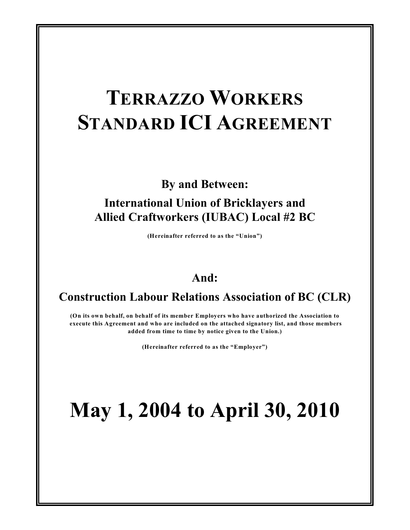# **TERRAZZO WORKERS STANDARD ICI AGREEMENT**

**By and Between:**

# **International Union of Bricklayers and Allied Craftworkers (IUBAC) Local #2 BC**

**(Hereinafter referred to as the "Union")**

# **And:**

# **Construction Labour Relations Association of BC (CLR)**

**(On its own behalf, on behalf of its member Employers who have authorized the Association to execute this Agreement and who are included on the attached signatory list, and those members added from time to time by notice given to the Union.)**

**(Hereinafter referred to as the "Employer")**

# **May 1, 2004 to April 30, 2010**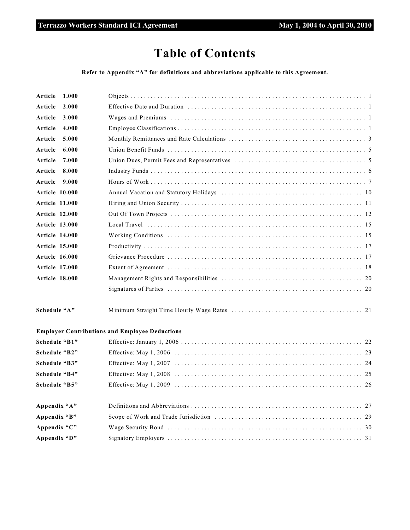# **Table of Contents**

**Refer to Appendix "A" for definitions and abbreviations applicable to this Agreement.**

| Article               | 1.000 |                                                       |
|-----------------------|-------|-------------------------------------------------------|
| Article               | 2.000 |                                                       |
| Article               | 3.000 |                                                       |
| Article               | 4.000 |                                                       |
| Article               | 5.000 |                                                       |
| Article               | 6.000 |                                                       |
| Article               | 7.000 |                                                       |
| Article               | 8.000 |                                                       |
| Article               | 9.000 |                                                       |
| <b>Article 10.000</b> |       |                                                       |
| <b>Article 11.000</b> |       |                                                       |
| Article 12.000        |       |                                                       |
| <b>Article 13.000</b> |       |                                                       |
| <b>Article 14.000</b> |       |                                                       |
| <b>Article 15.000</b> |       |                                                       |
| <b>Article 16.000</b> |       |                                                       |
| <b>Article 17.000</b> |       |                                                       |
| <b>Article 18.000</b> |       |                                                       |
|                       |       |                                                       |
| Schedule "A"          |       |                                                       |
|                       |       | <b>Employer Contributions and Employee Deductions</b> |
| Schedule "B1"         |       |                                                       |
| Schedule "B2"         |       |                                                       |
| Schedule "B3"         |       |                                                       |
| Schedule "B4"         |       |                                                       |
| Schedule "B5"         |       |                                                       |
|                       |       |                                                       |

| Appendix "A" |  |
|--------------|--|
| Appendix "B" |  |
| Appendix "C" |  |
| Appendix "D" |  |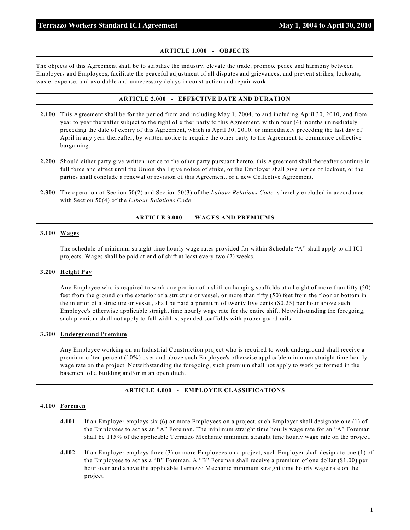#### **ARTICLE 1.000 - OBJECTS**

The objects of this Agreement shall be to stabilize the industry, elevate the trade, promote peace and harmony between Employers and Employees, facilitate the peaceful adjustment of all disputes and grievances, and prevent strikes, lockouts, waste, expense, and avoidable and unnecessary delays in construction and repair work.

#### **ARTICLE 2.000 - EFFECTIVE DATE AND DURATION**

- **2.100** This Agreement shall be for the period from and including May 1, 2004, to and including April 30, 2010, and from year to year thereafter subject to the right of either party to this Agreement, within four (4) months immediately preceding the date of expiry of this Agreement, which is April 30, 2010, or immediately preceding the last day of April in any year thereafter, by written notice to require the other party to the Agreement to commence collective bargaining.
- **2.200** Should either party give written notice to the other party pursuant hereto, this Agreement shall thereafter continue in full force and effect until the Union shall give notice of strike, or the Employer shall give notice of lockout, or the parties shall conclude a renewal or revision of this Agreement, or a new Collective Agreement.
- **2.300** The operation of Section 50(2) and Section 50(3) of the *Labour Relations Code* is hereby excluded in accordance with Section 50(4) of the *Labour Relations Code*.

#### **ARTICLE 3.000 - WAGES AND PREMIUMS**

#### **3.100 Wages**

The schedule of minimum straight time hourly wage rates provided for within Schedule "A" shall apply to all ICI projects. Wages shall be paid at end of shift at least every two (2) weeks.

#### **3.200 Height Pay**

Any Employee who is required to work any portion of a shift on hanging scaffolds at a height of more than fifty (50) feet from the ground on the exterior of a structure or vessel, or more than fifty (50) feet from the floor or bottom in the interior of a structure or vessel, shall be paid a premium of twenty five cents (\$0.25) per hour above such Employee's otherwise applicable straight time hourly wage rate for the entire shift. Notwithstanding the foregoing, such premium shall not apply to full width suspended scaffolds with proper guard rails.

#### **3.300 Underground Premium**

Any Employee working on an Industrial Construction project who is required to work underground shall receive a premium of ten percent (10%) over and above such Employee's otherwise applicable minimum straight time hourly wage rate on the project. Notwithstanding the foregoing, such premium shall not apply to work performed in the basement of a building and/or in an open ditch.

#### **ARTICLE 4.000 - EMPLOYEE CLASSIFICATIONS**

#### **4.100 Foremen**

- **4.101** If an Employer employs six (6) or more Employees on a project, such Employer shall designate one (1) of the Employees to act as an "A" Foreman. The minimum straight time hourly wage rate for an "A" Foreman shall be 115% of the applicable Terrazzo Mechanic minimum straight time hourly wage rate on the project.
- **4.102** If an Employer employs three (3) or more Employees on a project, such Employer shall designate one (1) of the Employees to act as a "B" Foreman. A "B" Foreman shall receive a premium of one dollar (\$1.00) per hour over and above the applicable Terrazzo Mechanic minimum straight time hourly wage rate on the project.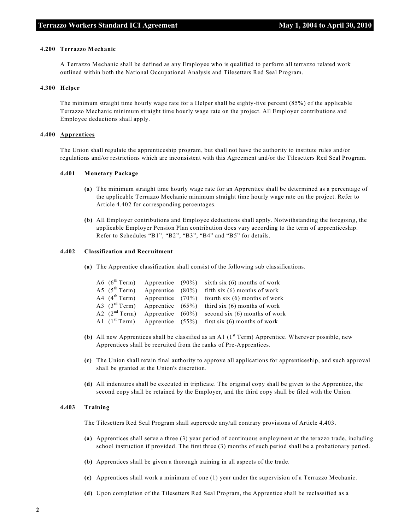#### **4.200 Terrazzo Mechanic**

A Terrazzo Mechanic shall be defined as any Employee who is qualified to perform all terrazzo related work outlined within both the National Occupational Analysis and Tilesetters Red Seal Program.

#### **4.300 Helper**

The minimum straight time hourly wage rate for a Helper shall be eighty-five percent (85%) of the applicable Terrazzo Mechanic minimum straight time hourly wage rate on the project. All Employer contributions and Employee deductions shall apply.

#### **4.400 Apprentices**

The Union shall regulate the apprenticeship program, but shall not have the authority to institute rules and/or regulations and/or restrictions which are inconsistent with this Agreement and/or the Tilesetters Red Seal Program.

#### **4.401 Monetary Package**

- **(a)** The minimum straight time hourly wage rate for an Apprentice shall be determined as a percentage of the applicable Terrazzo Mechanic minimum straight time hourly wage rate on the project. Refer to Article 4.402 for corresponding percentages.
- **(b)** All Employer contributions and Employee deductions shall apply. Notwithstanding the foregoing, the applicable Employer Pension Plan contribution does vary according to the term of apprenticeship. Refer to Schedules "B1", "B2", "B3", "B4" and "B5" for details.

#### **4.402 Classification and Recruitment**

**(a)** The Apprentice classification shall consist of the following sub classifications.

|  |  | A6 $(6^{th}$ Term) Apprentice $(90\%)$ sixth six (6) months of work |
|--|--|---------------------------------------------------------------------|
|  |  | A5 $(5th Term)$ Apprentice $(80%)$ fifth six (6) months of work     |
|  |  | A4 $(4th Term)$ Apprentice (70%) fourth six (6) months of work      |
|  |  | A3 $(3rd Term)$ Apprentice $(65%)$ third six (6) months of work     |
|  |  | A2 $(2nd Term)$ Apprentice $(60%)$ second six (6) months of work    |
|  |  | A1 $(1^{st}$ Term) Apprentice $(55%)$ first six (6) months of work  |

- **(b)** All new Apprentices shall be classified as an A1  $(1<sup>st</sup> Term)$  Apprentice. Wherever possible, new Apprentices shall be recruited from the ranks of Pre-Apprentices.
- **(c)** The Union shall retain final authority to approve all applications for apprenticeship, and such approval shall be granted at the Union's discretion.
- **(d)** All indentures shall be executed in triplicate. The original copy shall be given to the Apprentice, the second copy shall be retained by the Employer, and the third copy shall be filed with the Union.

#### **4.403 Training**

The Tilesetters Red Seal Program shall supercede any/all contrary provisions of Article 4.403.

- **(a)** Apprentices shall serve a three (3) year period of continuous employment at the terazzo trade, including school instruction if provided. The first three (3) months of such period shall be a probationary period.
- **(b)** Apprentices shall be given a thorough training in all aspects of the trade.
- **(c)** Apprentices shall work a minimum of one (1) year under the supervision of a Terrazzo Mechanic.
- **(d)** Upon completion of the Tilesetters Red Seal Program, the Apprentice shall be reclassified as a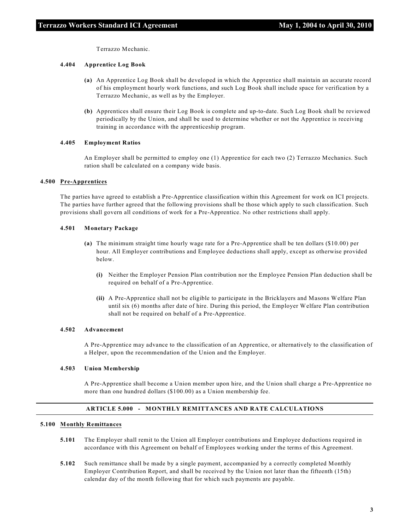Terrazzo Mechanic.

#### **4.404 Apprentice Log Book**

- **(a)** An Apprentice Log Book shall be developed in which the Apprentice shall maintain an accurate record of his employment hourly work functions, and such Log Book shall include space for verification by a Terrazzo Mechanic, as well as by the Employer.
- **(b)** Apprentices shall ensure their Log Book is complete and up-to-date. Such Log Book shall be reviewed periodically by the Union, and shall be used to determine whether or not the Apprentice is receiving training in accordance with the apprenticeship program.

#### **4.405 Employment Ratios**

An Employer shall be permitted to employ one (1) Apprentice for each two (2) Terrazzo Mechanics. Such ration shall be calculated on a company wide basis.

#### **4.500 Pre-Apprentices**

The parties have agreed to establish a Pre-Apprentice classification within this Agreement for work on ICI projects. The parties have further agreed that the following provisions shall be those which apply to such classification. Such provisions shall govern all conditions of work for a Pre-Apprentice. No other restrictions shall apply.

#### **4.501 Monetary Package**

- **(a)** The minimum straight time hourly wage rate for a Pre-Apprentice shall be ten dollars (\$10.00) per hour. All Employer contributions and Employee deductions shall apply, except as otherwise provided below.
	- **(i)** Neither the Employer Pension Plan contribution nor the Employee Pension Plan deduction shall be required on behalf of a Pre-Apprentice.
	- **(ii)** A Pre-Apprentice shall not be eligible to participate in the Bricklayers and Masons Welfare Plan until six (6) months after date of hire. During this period, the Employer Welfare Plan contribution shall not be required on behalf of a Pre-Apprentice.

#### **4.502 Advancement**

A Pre-Apprentice may advance to the classification of an Apprentice, or alternatively to the classification of a Helper, upon the recommendation of the Union and the Employer.

#### **4.503 Union Membership**

A Pre-Apprentice shall become a Union member upon hire, and the Union shall charge a Pre-Apprentice no more than one hundred dollars (\$100.00) as a Union membership fee.

#### **ARTICLE 5.000 - MONTHLY REMITTANCES AND RATE CALCULATIONS**

#### **5.100 Monthly Remittances**

- **5.101** The Employer shall remit to the Union all Employer contributions and Employee deductions required in accordance with this Agreement on behalf of Employees working under the terms of this Agreement.
- **5.102** Such remittance shall be made by a single payment, accompanied by a correctly completed Monthly Employer Contribution Report, and shall be received by the Union not later than the fifteenth (15th) calendar day of the month following that for which such payments are payable.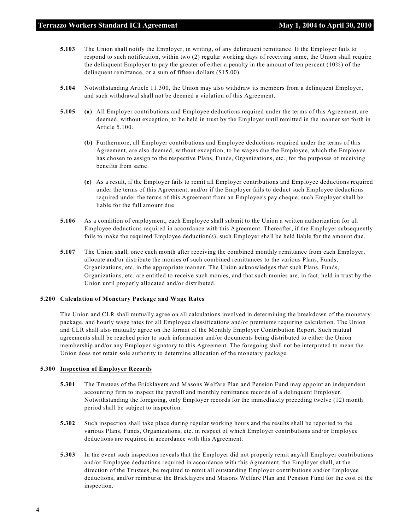- **5.103** The Union shall notify the Employer, in writing, of any delinquent remittance. If the Employer fails to respond to such notification, within two (2) regular working days of receiving same, the Union shall require the delinquent Employer to pay the greater of either a penalty in the amount of ten percent (10%) of the delinquent remittance, or a sum of fifteen dollars (\$15.00).
- **5.104** Notwithstanding Article 11.300, the Union may also withdraw its members from a delinquent Employer, and such withdrawal shall not be deemed a violation of this Agreement.
- **5.105 (a)** All Employer contributions and Employee deductions required under the terms of this Agreement, are deemed, without exception, to be held in trust by the Employer until remitted in the manner set forth in Article 5.100.
	- **(b)** Furthermore, all Employer contributions and Employee deductions required under the terms of this Agreement, are also deemed, without exception, to be wages due the Employee, which the Employee has chosen to assign to the respective Plans, Funds, Organizations, etc., for the purposes of receiving benefits from same.
	- **(c)** As a result, if the Employer fails to remit all Employer contributions and Employee deductions required under the terms of this Agreement, and/or if the Employer fails to deduct such Employee deductions required under the terms of this Agreement from an Employee's pay cheque, such Employer shall be liable for the full amount due.
- **5.106** As a condition of employment, each Employee shall submit to the Union a written authorization for all Employee deductions required in accordance with this Agreement. Thereafter, if the Employer subsequently fails to make the required Employee deduction(s), such Employer shall be held liable for the amount due.
- **5.107** The Union shall, once each month after receiving the combined monthly remittance from each Employer, allocate and/or distribute the monies of such combined remittances to the various Plans, Funds, Organizations, etc. in the appropriate manner. The Union acknowledges that such Plans, Funds, Organizations, etc. are entitled to receive such monies, and that such monies are, in fact, held in trust by the Union until properly allocated and/or distributed.

#### **5.200 Calculation of Monetary Package and Wage Rates**

The Union and CLR shall mutually agree on all calculations involved in determining the breakdown of the monetary package, and hourly wage rates for all Employee classifications and/or premiums requiring calculation. The Union and CLR shall also mutually agree on the format of the Monthly Employer Contribution Report. Such mutual agreements shall be reached prior to such information and/or documents being distributed to either the Union membership and/or any Employer signatory to this Agreement. The foregoing shall not be interpreted to mean the Union does not retain sole authority to determine allocation of the monetary package.

#### **5.300 Inspection of Employer Records**

- **5.301** The Trustees of the Bricklayers and Masons Welfare Plan and Pension Fund may appoint an independent accounting firm to inspect the payroll and monthly remittance records of a delinquent Employer. Notwithstanding the foregoing, only Employer records for the immediately preceding twelve (12) month period shall be subject to inspection.
- **5.302** Such inspection shall take place during regular working hours and the results shall be reported to the various Plans, Funds, Organizations, etc. in respect of which Employer contributions and/or Employee deductions are required in accordance with this Agreement.
- **5.303** In the event such inspection reveals that the Employer did not properly remit any/all Employer contributions and/or Employee deductions required in accordance with this Agreement, the Employer shall, at the direction of the Trustees, be required to remit all outstanding Employer contributions and/or Employee deductions, and/or reimburse the Bricklayers and Masons Welfare Plan and Pension Fund for the cost of the inspection.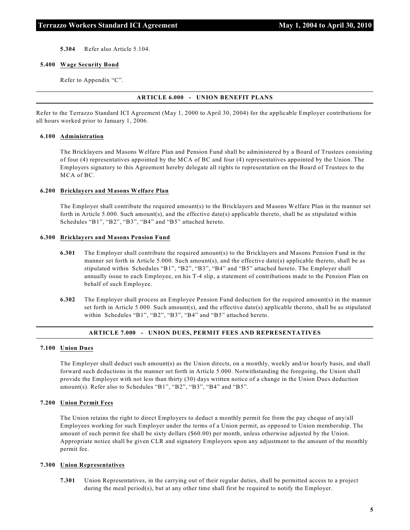**5.304** Refer also Article 5.104.

#### **5.400 Wage Security Bond**

Refer to Appendix "C".

#### **ARTICLE 6.000 - UNION BENEFIT PLANS**

Refer to the Terrazzo Standard ICI Agreement (May 1, 2000 to April 30, 2004) for the applicable Employer contributions for all hours worked prior to January 1, 2006.

#### **6.100 Administration**

The Bricklayers and Masons Welfare Plan and Pension Fund shall be administered by a Board of Trustees consisting of four (4) representatives appointed by the MCA of BC and four (4) representatives appointed by the Union. The Employers signatory to this Agreement hereby delegate all rights to representation on the Board of Trustees to the MCA of BC.

#### **6.200 Bricklayers and Masons Welfare Plan**

The Employer shall contribute the required amount(s) to the Bricklayers and Masons Welfare Plan in the manner set forth in Article 5.000. Such amount(s), and the effective date(s) applicable thereto, shall be as stipulated within Schedules "B1", "B2", "B3", "B4" and "B5" attached hereto.

#### **6.300 Bricklayers and Masons Pension Fund**

- **6.301** The Employer shall contribute the required amount(s) to the Bricklayers and Masons Pension Fund in the manner set forth in Article 5.000. Such amount(s), and the effective date(s) applicable thereto, shall be as stipulated within Schedules "B1", "B2", "B3", "B4" and "B5" attached hereto. The Employer shall annually issue to each Employee, on his T-4 slip, a statement of contributions made to the Pension Plan on behalf of such Employee.
- **6.302** The Employer shall process an Employee Pension Fund deduction for the required amount(s) in the manner set forth in Article 5.000. Such amount(s), and the effective date(s) applicable thereto, shall be as stipulated within Schedules "B1", "B2", "B3", "B4" and "B5" attached hereto.

## **ARTICLE 7.000 - UNION DUES, PERMIT FEES AND REPRESENTATIVES**

#### **7.100 Union Dues**

The Employer shall deduct such amount(s) as the Union directs, on a monthly, weekly and/or hourly basis, and shall forward such deductions in the manner set forth in Article 5.000. Notwithstanding the foregoing, the Union shall provide the Employer with not less than thirty (30) days written notice of a change in the Union Dues deduction amount(s). Refer also to Schedules "B1", "B2", "B3", "B4" and "B5".

#### **7.200 Union Permit Fees**

The Union retains the right to direct Employers to deduct a monthly permit fee from the pay cheque of any/all Employees working for such Employer under the terms of a Union permit, as opposed to Union membership. The amount of such permit fee shall be sixty dollars (\$60.00) per month, unless otherwise adjusted by the Union. Appropriate notice shall be given CLR and signatory Employers upon any adjustment to the amount of the monthly permit fee.

#### **7.300 Union Representatives**

**7.301** Union Representatives, in the carrying out of their regular duties, shall be permitted access to a project during the meal period(s), but at any other time shall first be required to notify the Employer.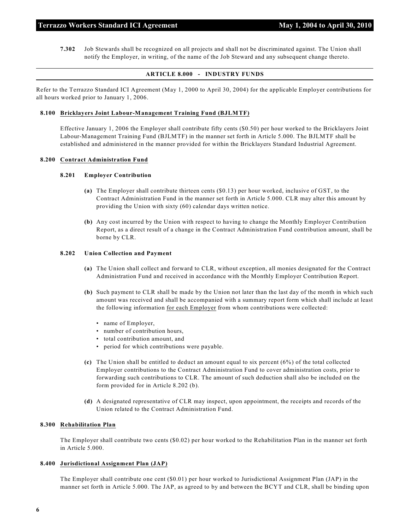**7.302** Job Stewards shall be recognized on all projects and shall not be discriminated against. The Union shall notify the Employer, in writing, of the name of the Job Steward and any subsequent change thereto.

#### **ARTICLE 8.000 - INDUSTRY FUNDS**

Refer to the Terrazzo Standard ICI Agreement (May 1, 2000 to April 30, 2004) for the applicable Employer contributions for all hours worked prior to January 1, 2006.

#### **8.100 Bricklayers Joint Labour-Management Training Fund (BJLMTF)**

Effective January 1, 2006 the Employer shall contribute fifty cents (\$0.50) per hour worked to the Bricklayers Joint Labour-Management Training Fund (BJLMTF) in the manner set forth in Article 5.000. The BJLMTF shall be established and administered in the manner provided for within the Bricklayers Standard Industrial Agreement.

#### **8.200 Contract Administration Fund**

#### **8.201 Employer Contribution**

- **(a)** The Employer shall contribute thirteen cents (\$0.13) per hour worked, inclusive of GST, to the Contract Administration Fund in the manner set forth in Article 5.000. CLR may alter this amount by providing the Union with sixty (60) calendar days written notice.
- **(b)** Any cost incurred by the Union with respect to having to change the Monthly Employer Contribution Report, as a direct result of a change in the Contract Administration Fund contribution amount, shall be borne by CLR.

#### **8.202 Union Collection and Payment**

- **(a)** The Union shall collect and forward to CLR, without exception, all monies designated for the Contract Administration Fund and received in accordance with the Monthly Employer Contribution Report.
- **(b)** Such payment to CLR shall be made by the Union not later than the last day of the month in which such amount was received and shall be accompanied with a summary report form which shall include at least the following information for each Employer from whom contributions were collected:
	- name of Employer,
	- number of contribution hours,
	- total contribution amount, and
	- period for which contributions were payable.
- **(c)** The Union shall be entitled to deduct an amount equal to six percent (6%) of the total collected Employer contributions to the Contract Administration Fund to cover administration costs, prior to forwarding such contributions to CLR. The amount of such deduction shall also be included on the form provided for in Article 8.202 (b).
- **(d)** A designated representative of CLR may inspect, upon appointment, the receipts and records of the Union related to the Contract Administration Fund.

#### **8.300 Rehabilitation Plan**

The Employer shall contribute two cents (\$0.02) per hour worked to the Rehabilitation Plan in the manner set forth in Article 5.000.

#### **8.400 Jurisdictional Assignment Plan (JAP)**

The Employer shall contribute one cent (\$0.01) per hour worked to Jurisdictional Assignment Plan (JAP) in the manner set forth in Article 5.000. The JAP, as agreed to by and between the BCYT and CLR, shall be binding upon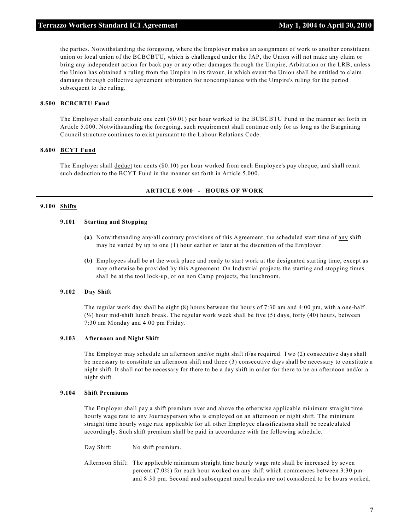the parties. Notwithstanding the foregoing, where the Employer makes an assignment of work to another constituent union or local union of the BCBCBTU, which is challenged under the JAP, the Union will not make any claim or bring any independent action for back pay or any other damages through the Umpire, Arbitration or the LRB, unless the Union has obtained a ruling from the Umpire in its favour, in which event the Union shall be entitled to claim damages through collective agreement arbitration for noncompliance with the Umpire's ruling for the period subsequent to the ruling.

#### **8.500 BCBCBTU Fund**

The Employer shall contribute one cent (\$0.01) per hour worked to the BCBCBTU Fund in the manner set forth in Article 5.000. Notwithstanding the foregoing, such requirement shall continue only for as long as the Bargaining Council structure continues to exist pursuant to the Labour Relations Code.

#### **8.600 BCYT Fund**

The Employer shall deduct ten cents (\$0.10) per hour worked from each Employee's pay cheque, and shall remit such deduction to the BCYT Fund in the manner set forth in Article 5.000.

#### **ARTICLE 9.000 - HOURS OF WORK**

#### **9.100 Shifts**

#### **9.101 Starting and Stopping**

- **(a)** Notwithstanding any/all contrary provisions of this Agreement, the scheduled start time of any shift may be varied by up to one (1) hour earlier or later at the discretion of the Employer.
- **(b)** Employees shall be at the work place and ready to start work at the designated starting time, except as may otherwise be provided by this Agreement. On Industrial projects the starting and stopping times shall be at the tool lock-up, or on non Camp projects, the lunchroom.

#### **9.102 Day Shift**

The regular work day shall be eight (8) hours between the hours of 7:30 am and 4:00 pm, with a one-half  $(\frac{1}{2})$  hour mid-shift lunch break. The regular work week shall be five (5) days, forty (40) hours, between 7:30 am Monday and 4:00 pm Friday.

#### **9.103 Afternoon and Night Shift**

The Employer may schedule an afternoon and/or night shift if/as required. Two (2) consecutive days shall be necessary to constitute an afternoon shift and three (3) consecutive days shall be necessary to constitute a night shift. It shall not be necessary for there to be a day shift in order for there to be an afternoon and/or a night shift.

#### **9.104 Shift Premiums**

The Employer shall pay a shift premium over and above the otherwise applicable minimum straight time hourly wage rate to any Journeyperson who is employed on an afternoon or night shift. The minimum straight time hourly wage rate applicable for all other Employee classifications shall be recalculated accordingly. Such shift premium shall be paid in accordance with the following schedule.

Day Shift: No shift premium.

Afternoon Shift: The applicable minimum straight time hourly wage rate shall be increased by seven percent (7.0%) for each hour worked on any shift which commences between 3:30 pm and 8:30 pm. Second and subsequent meal breaks are not considered to be hours worked.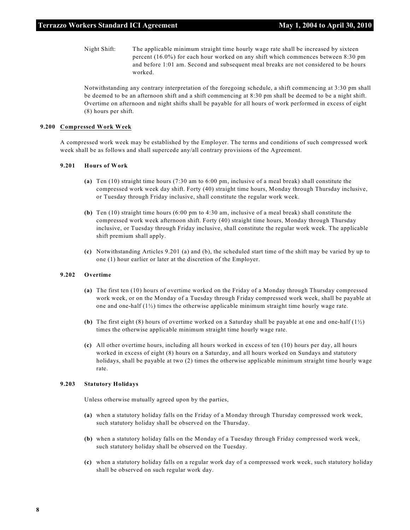Night Shift: The applicable minimum straight time hourly wage rate shall be increased by sixteen percent (16.0%) for each hour worked on any shift which commences between 8:30 pm and before 1:01 am. Second and subsequent meal breaks are not considered to be hours worked.

Notwithstanding any contrary interpretation of the foregoing schedule, a shift commencing at 3:30 pm shall be deemed to be an afternoon shift and a shift commencing at 8:30 pm shall be deemed to be a night shift. Overtime on afternoon and night shifts shall be payable for all hours of work performed in excess of eight (8) hours per shift.

#### **9.200 Compressed Work Week**

A compressed work week may be established by the Employer. The terms and conditions of such compressed work week shall be as follows and shall supercede any/all contrary provisions of the Agreement.

#### **9.201 Hours of Work**

- **(a)** Ten (10) straight time hours (7:30 am to 6:00 pm, inclusive of a meal break) shall constitute the compressed work week day shift. Forty (40) straight time hours, Monday through Thursday inclusive, or Tuesday through Friday inclusive, shall constitute the regular work week.
- **(b)** Ten (10) straight time hours (6:00 pm to 4:30 am, inclusive of a meal break) shall constitute the compressed work week afternoon shift. Forty (40) straight time hours, Monday through Thursday inclusive, or Tuesday through Friday inclusive, shall constitute the regular work week. The applicable shift premium shall apply.
- **(c)** Notwithstanding Articles 9.201 (a) and (b), the scheduled start time of the shift may be varied by up to one (1) hour earlier or later at the discretion of the Employer.

#### **9.202 Overtime**

- **(a)** The first ten (10) hours of overtime worked on the Friday of a Monday through Thursday compressed work week, or on the Monday of a Tuesday through Friday compressed work week, shall be payable at one and one-half  $(1/2)$  times the otherwise applicable minimum straight time hourly wage rate.
- **(b)** The first eight (8) hours of overtime worked on a Saturday shall be payable at one and one-half (1½) times the otherwise applicable minimum straight time hourly wage rate.
- **(c)** All other overtime hours, including all hours worked in excess of ten (10) hours per day, all hours worked in excess of eight (8) hours on a Saturday, and all hours worked on Sundays and statutory holidays, shall be payable at two (2) times the otherwise applicable minimum straight time hourly wage rate.

#### **9.203 Statutory Holidays**

Unless otherwise mutually agreed upon by the parties,

- **(a)** when a statutory holiday falls on the Friday of a Monday through Thursday compressed work week, such statutory holiday shall be observed on the Thursday.
- **(b)** when a statutory holiday falls on the Monday of a Tuesday through Friday compressed work week, such statutory holiday shall be observed on the Tuesday.
- **(c)** when a statutory holiday falls on a regular work day of a compressed work week, such statutory holiday shall be observed on such regular work day.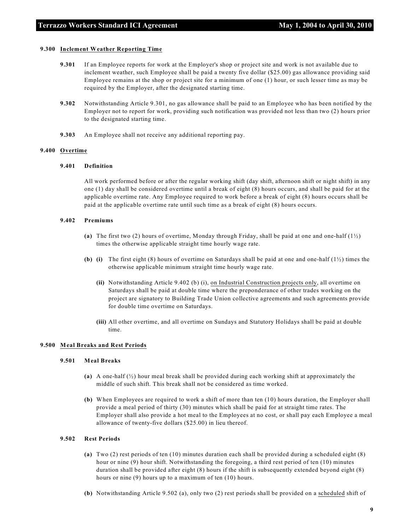#### **9.300 Inclement Weather Reporting Time**

- **9.301** If an Employee reports for work at the Employer's shop or project site and work is not available due to inclement weather, such Employee shall be paid a twenty five dollar (\$25.00) gas allowance providing said Employee remains at the shop or project site for a minimum of one (1) hour, or such lesser time as may be required by the Employer, after the designated starting time.
- **9.302** Notwithstanding Article 9.301, no gas allowance shall be paid to an Employee who has been notified by the Employer not to report for work, providing such notification was provided not less than two (2) hours prior to the designated starting time.
- **9.303** An Employee shall not receive any additional reporting pay.

#### **9.400 Overtime**

#### **9.401 Definition**

All work performed before or after the regular working shift (day shift, afternoon shift or night shift) in any one (1) day shall be considered overtime until a break of eight (8) hours occurs, and shall be paid for at the applicable overtime rate. Any Employee required to work before a break of eight (8) hours occurs shall be paid at the applicable overtime rate until such time as a break of eight (8) hours occurs.

#### **9.402 Premiums**

- **(a)** The first two (2) hours of overtime, Monday through Friday, shall be paid at one and one-half (1½) times the otherwise applicable straight time hourly wage rate.
- **(b) (i)** The first eight (8) hours of overtime on Saturdays shall be paid at one and one-half (1½) times the otherwise applicable minimum straight time hourly wage rate.
	- **(ii)** Notwithstanding Article 9.402 (b) (i), on Industrial Construction projects only, all overtime on Saturdays shall be paid at double time where the preponderance of other trades working on the project are signatory to Building Trade Union collective agreements and such agreements provide for double time overtime on Saturdays.
	- **(iii)** All other overtime, and all overtime on Sundays and Statutory Holidays shall be paid at double time.

#### **9.500 Meal Breaks and Rest Periods**

#### **9.501 Meal Breaks**

- **(a)** A one-half (½) hour meal break shall be provided during each working shift at approximately the middle of such shift. This break shall not be considered as time worked.
- **(b)** When Employees are required to work a shift of more than ten (10) hours duration, the Employer shall provide a meal period of thirty (30) minutes which shall be paid for at straight time rates. The Employer shall also provide a hot meal to the Employees at no cost, or shall pay each Employee a meal allowance of twenty-five dollars (\$25.00) in lieu thereof.

#### **9.502 Rest Periods**

- **(a)** Two (2) rest periods of ten (10) minutes duration each shall be provided during a scheduled eight (8) hour or nine (9) hour shift. Notwithstanding the foregoing, a third rest period of ten (10) minutes duration shall be provided after eight (8) hours if the shift is subsequently extended beyond eight (8) hours or nine (9) hours up to a maximum of ten (10) hours.
- **(b)** Notwithstanding Article 9.502 (a), only two (2) rest periods shall be provided on a scheduled shift of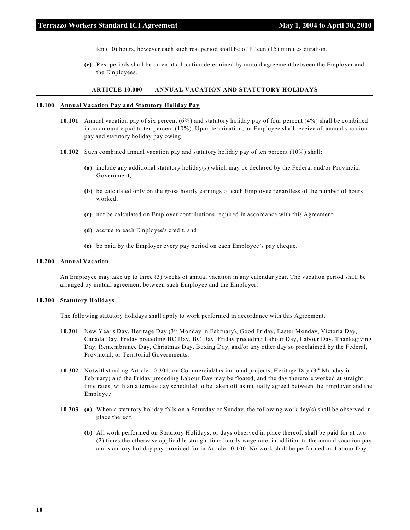ten (10) hours, however each such rest period shall be of fifteen (15) minutes duration.

**(c)** Rest periods shall be taken at a location determined by mutual agreement between the Employer and the Employees.

#### **ARTICLE 10.000 - ANNUAL VACATION AND STATUTORY HOLIDAYS**

#### **10.100 Annual Vacation Pay and Statutory Holiday Pay**

- **10.101** Annual vacation pay of six percent (6%) and statutory holiday pay of four percent (4%) shall be combined in an amount equal to ten percent (10%). Upon termination, an Employee shall receive all annual vacation pay and statutory holiday pay owing.
- **10.102** Such combined annual vacation pay and statutory holiday pay of ten percent (10%) shall:
	- **(a)** include any additional statutory holiday(s) which may be declared by the Federal and/or Provincial Government,
	- **(b)** be calculated only on the gross hourly earnings of each Employee regardless of the number of hours worked,
	- **(c)** not be calculated on Employer contributions required in accordance with this Agreement.
	- **(d)** accrue to each Employee's credit, and
	- **(e)** be paid by the Employer every pay period on each Employee's pay cheque.

#### **10.200 Annual Vacation**

An Employee may take up to three (3) weeks of annual vacation in any calendar year. The vacation period shall be arranged by mutual agreement between such Employee and the Employer.

#### **10.300 Statutory Holidays**

The following statutory holidays shall apply to work performed in accordance with this Agreement.

- 10.301 New Year's Day, Heritage Day (3<sup>rd</sup> Monday in February), Good Friday, Easter Monday, Victoria Day, Canada Day, Friday preceding BC Day, BC Day, Friday preceding Labour Day, Labour Day, Thanksgiving Day, Remembrance Day, Christmas Day, Boxing Day, and/or any other day so proclaimed by the Federal, Provincial, or Territorial Governments.
- **10.302** Notwithstanding Article 10.301, on Commercial/Institutional projects, Heritage Day (3<sup>rd</sup> Monday in February) and the Friday preceding Labour Day may be floated, and the day therefore worked at straight time rates, with an alternate day scheduled to be taken off as mutually agreed between the Employer and the Employee.
- **10.303 (a)** When a statutory holiday falls on a Saturday or Sunday, the following work day(s) shall be observed in place thereof.
	- **(b)** All work performed on Statutory Holidays, or days observed in place thereof, shall be paid for at two (2) times the otherwise applicable straight time hourly wage rate, in addition to the annual vacation pay and statutory holiday pay provided for in Article 10.100. No work shall be performed on Labour Day.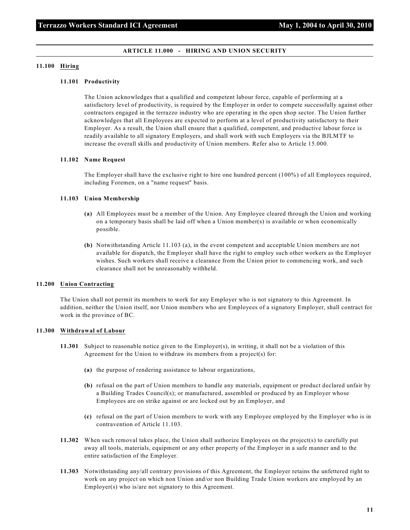#### **ARTICLE 11.000 - HIRING AND UNION SECURITY**

#### **11.100 Hiring**

#### **11.101 Productivity**

The Union acknowledges that a qualified and competent labour force, capable of performing at a satisfactory level of productivity, is required by the Employer in order to compete successfully against other contractors engaged in the terrazzo industry who are operating in the open shop sector. The Union further acknowledges that all Employees are expected to perform at a level of productivity satisfactory to their Employer. As a result, the Union shall ensure that a qualified, competent, and productive labour force is readily available to all signatory Employers, and shall work with such Employers via the BJLMTF to increase the overall skills and productivity of Union members. Refer also to Article 15.000.

#### **11.102 Name Request**

The Employer shall have the exclusive right to hire one hundred percent (100%) of all Employees required, including Foremen, on a "name request" basis.

#### **11.103 Union Membership**

- **(a)** All Employees must be a member of the Union. Any Employee cleared through the Union and working on a temporary basis shall be laid off when a Union member(s) is available or when economically possible.
- **(b)** Notwithstanding Article 11.103 (a), in the event competent and acceptable Union members are not available for dispatch, the Employer shall have the right to employ such other workers as the Employer wishes. Such workers shall receive a clearance from the Union prior to commencing work, and such clearance shall not be unreasonably withheld.

#### **11.200 Union Contracting**

The Union shall not permit its members to work for any Employer who is not signatory to this Agreement. In addition, neither the Union itself, nor Union members who are Employees of a signatory Employer, shall contract for work in the province of BC.

#### **11.300 Withdrawal of Labour**

- **11.301** Subject to reasonable notice given to the Employer(s), in writing, it shall not be a violation of this Agreement for the Union to withdraw its members from a project(s) for:
	- **(a)** the purpose of rendering assistance to labour organizations,
	- **(b)** refusal on the part of Union members to handle any materials, equipment or product declared unfair by a Building Trades Council(s); or manufactured, assembled or produced by an Employer whose Employees are on strike against or are locked out by an Employer, and
	- **(c)** refusal on the part of Union members to work with any Employee employed by the Employer who is in contravention of Article 11.103.
- **11.302** When such removal takes place, the Union shall authorize Employees on the project(s) to carefully put away all tools, materials, equipment or any other property of the Employer in a safe manner and to the entire satisfaction of the Employer.
- **11.303** Notwithstanding any/all contrary provisions of this Agreement, the Employer retains the unfettered right to work on any project on which non Union and/or non Building Trade Union workers are employed by an Employer(s) who is/are not signatory to this Agreement.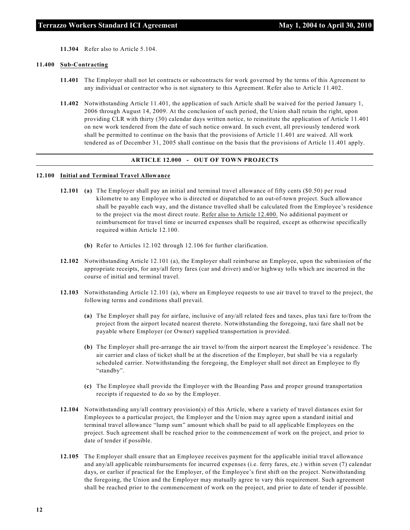**11.304** Refer also to Article 5.104.

#### **11.400 Sub-Contracting**

- **11.401** The Employer shall not let contracts or subcontracts for work governed by the terms of this Agreement to any individual or contractor who is not signatory to this Agreement. Refer also to Article 11.402.
- **11.402** Notwithstanding Article 11.401, the application of such Article shall be waived for the period January 1, 2006 through August 14, 2009. At the conclusion of such period, the Union shall retain the right, upon providing CLR with thirty (30) calendar days written notice, to reinstitute the application of Article 11.401 on new work tendered from the date of such notice onward. In such event, all previously tendered work shall be permitted to continue on the basis that the provisions of Article 11.401 are waived. All work tendered as of December 31, 2005 shall continue on the basis that the provisions of Article 11.401 apply.

#### **ARTICLE 12.000 - OUT OF TOWN PROJECTS**

#### **12.100 Initial and Terminal Travel Allowance**

- **12.101 (a)** The Employer shall pay an initial and terminal travel allowance of fifty cents (\$0.50) per road kilometre to any Employee who is directed or dispatched to an out-of-town project. Such allowance shall be payable each way, and the distance travelled shall be calculated from the Employee's residence to the project via the most direct route. Refer also to Article 12.400. No additional payment or reimbursement for travel time or incurred expenses shall be required, except as otherwise specifically required within Article 12.100.
	- **(b)** Refer to Articles 12.102 through 12.106 for further clarification.
- **12.102** Notwithstanding Article 12.101 (a), the Employer shall reimburse an Employee, upon the submission of the appropriate receipts, for any/all ferry fares (car and driver) and/or highway tolls which are incurred in the course of initial and terminal travel.
- **12.103** Notwithstanding Article 12.101 (a), where an Employee requests to use air travel to travel to the project, the following terms and conditions shall prevail.
	- **(a)** The Employer shall pay for airfare, inclusive of any/all related fees and taxes, plus taxi fare to/from the project from the airport located nearest thereto. Notwithstanding the foregoing, taxi fare shall not be payable where Employer (or Owner) supplied transportation is provided.
	- **(b)** The Employer shall pre-arrange the air travel to/from the airport nearest the Employee's residence. The air carrier and class of ticket shall be at the discretion of the Employer, but shall be via a regularly scheduled carrier. Notwithstanding the foregoing, the Employer shall not direct an Employee to fly "standby".
	- **(c)** The Employee shall provide the Employer with the Boarding Pass and proper ground transportation receipts if requested to do so by the Employer.
- **12.104** Notwithstanding any/all contrary provision(s) of this Article, where a variety of travel distances exist for Employees to a particular project, the Employer and the Union may agree upon a standard initial and terminal travel allowance "lump sum" amount which shall be paid to all applicable Employees on the project. Such agreement shall be reached prior to the commencement of work on the project, and prior to date of tender if possible.
- **12.105** The Employer shall ensure that an Employee receives payment for the applicable initial travel allowance and any/all applicable reimbursements for incurred expenses (i.e. ferry fares, etc.) within seven (7) calendar days, or earlier if practical for the Employer, of the Employee's first shift on the project. Notwithstanding the foregoing, the Union and the Employer may mutually agree to vary this requirement. Such agreement shall be reached prior to the commencement of work on the project, and prior to date of tender if possible.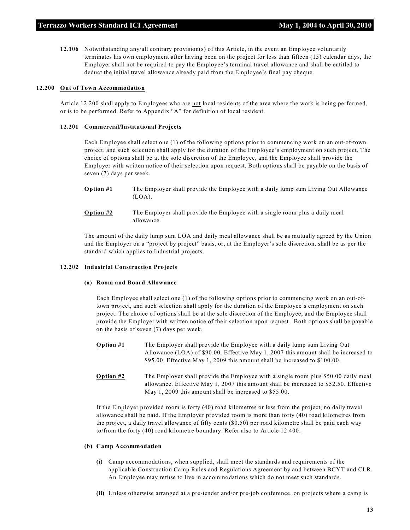**12.106** Notwithstanding any/all contrary provision(s) of this Article, in the event an Employee voluntarily terminates his own employment after having been on the project for less than fifteen (15) calendar days, the Employer shall not be required to pay the Employee's terminal travel allowance and shall be entitled to deduct the initial travel allowance already paid from the Employee's final pay cheque.

#### **12.200 Out of Town Accommodation**

Article 12.200 shall apply to Employees who are not local residents of the area where the work is being performed, or is to be performed. Refer to Appendix "A" for definition of local resident.

#### **12.201 Commercial/Institutional Projects**

Each Employee shall select one (1) of the following options prior to commencing work on an out-of-town project, and such selection shall apply for the duration of the Employee's employment on such project. The choice of options shall be at the sole discretion of the Employee, and the Employee shall provide the Employer with written notice of their selection upon request. Both options shall be payable on the basis of seven (7) days per week.

- **Option #1** The Employer shall provide the Employee with a daily lump sum Living Out Allowance  $(LOA)$ .
- **Option #2** The Employer shall provide the Employee with a single room plus a daily meal allowance.

The amount of the daily lump sum LOA and daily meal allowance shall be as mutually agreed by the Union and the Employer on a "project by project" basis, or, at the Employer's sole discretion, shall be as per the standard which applies to Industrial projects.

#### **12.202 Industrial Construction Projects**

#### **(a) Room and Board Allowance**

Each Employee shall select one (1) of the following options prior to commencing work on an out-oftown project, and such selection shall apply for the duration of the Employee's employment on such project. The choice of options shall be at the sole discretion of the Employee, and the Employee shall provide the Employer with written notice of their selection upon request. Both options shall be payable on the basis of seven (7) days per week.

- **Option #1** The Employer shall provide the Employee with a daily lump sum Living Out Allowance (LOA) of \$90.00. Effective May 1, 2007 this amount shall be increased to \$95.00. Effective May 1, 2009 this amount shall be increased to \$100.00.
- **Option #2** The Employer shall provide the Employee with a single room plus \$50.00 daily meal allowance. Effective May 1, 2007 this amount shall be increased to \$52.50. Effective May 1, 2009 this amount shall be increased to \$55.00.

If the Employer provided room is forty (40) road kilometres or less from the project, no daily travel allowance shall be paid. If the Employer provided room is more than forty (40) road kilometres from the project, a daily travel allowance of fifty cents (\$0.50) per road kilometre shall be paid each way to/from the forty (40) road kilometre boundary. Refer also to Article 12.400.

#### **(b) Camp Accommodation**

- **(i)** Camp accommodations, when supplied, shall meet the standards and requirements of the applicable Construction Camp Rules and Regulations Agreement by and between BCYT and CLR. An Employee may refuse to live in accommodations which do not meet such standards.
- **(ii)** Unless otherwise arranged at a pre-tender and/or pre-job conference, on projects where a camp is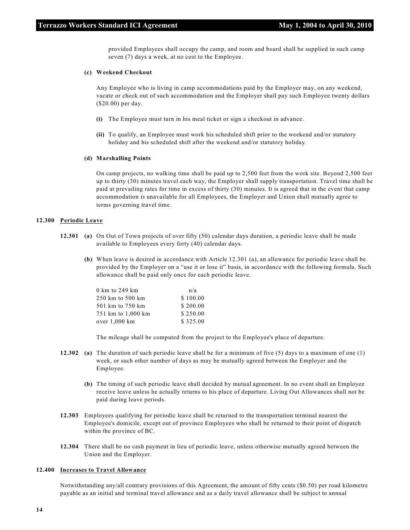provided Employees shall occupy the camp, and room and board shall be supplied in such camp seven (7) days a week, at no cost to the Employee.

#### **(c) Weekend Checkout**

Any Employee who is living in camp accommodations paid by the Employer may, on any weekend, vacate or check out of such accommodation and the Employer shall pay such Employee twenty dollars (\$20.00) per day.

- **(i)** The Employee must turn in his meal ticket or sign a checkout in advance.
- **(ii)** To qualify, an Employee must work his scheduled shift prior to the weekend and/or statutory holiday and his scheduled shift after the weekend and/or statutory holiday.

#### **(d) Marshalling Points**

On camp projects, no walking time shall be paid up to 2,500 feet from the work site. Beyond 2,500 feet up to thirty (30) minutes travel each way, the Employer shall supply transportation. Travel time shall be paid at prevailing rates for time in excess of thirty (30) minutes. It is agreed that in the event that camp accommodation is unavailable for all Employees, the Employer and Union shall mutually agree to terms governing travel time.

#### **12.300 Periodic Leave**

- **12.301 (a)** On Out of Town projects of over fifty (50) calendar days duration, a periodic leave shall be made available to Employees every forty (40) calendar days.
	- **(b)** When leave is desired in accordance with Article 12.301 (a), an allowance for periodic leave shall be provided by the Employer on a "use it or lose it" basis, in accordance with the following formula. Such allowance shall be paid only once for each periodic leave.

| n/a      |
|----------|
| \$100.00 |
| \$200.00 |
| \$250.00 |
| \$325.00 |
|          |

The mileage shall be computed from the project to the Employee's place of departure.

- **12.302 (a)** The duration of such periodic leave shall be for a minimum of five (5) days to a maximum of one (1) week, or such other number of days as may be mutually agreed between the Employer and the Employee.
	- **(b)** The timing of such periodic leave shall decided by mutual agreement. In no event shall an Employee receive leave unless he actually returns to his place of departure. Living Out Allowances shall not be paid during leave periods.
- **12.303** Employees qualifying for periodic leave shall be returned to the transportation terminal nearest the Employee's domicile, except out of province Employees who shall be returned to their point of dispatch within the province of BC.
- **12.304** There shall be no cash payment in lieu of periodic leave, unless otherwise mutually agreed between the Union and the Employer.

#### **12.400 Increases to Travel Allowance**

Notwithstanding any/all contrary provisions of this Agreement, the amount of fifty cents (\$0.50) per road kilometre payable as an initial and terminal travel allowance and as a daily travel allowance shall be subject to annual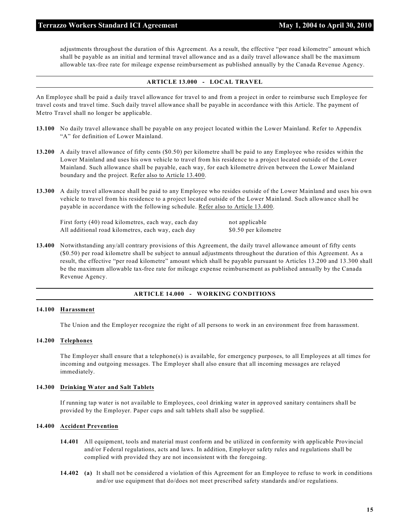adjustments throughout the duration of this Agreement. As a result, the effective "per road kilometre" amount which shall be payable as an initial and terminal travel allowance and as a daily travel allowance shall be the maximum allowable tax-free rate for mileage expense reimbursement as published annually by the Canada Revenue Agency.

#### **ARTICLE 13.000 - LOCAL TRAVEL**

An Employee shall be paid a daily travel allowance for travel to and from a project in order to reimburse such Employee for travel costs and travel time. Such daily travel allowance shall be payable in accordance with this Article. The payment of Metro Travel shall no longer be applicable.

- **13.100** No daily travel allowance shall be payable on any project located within the Lower Mainland. Refer to Appendix "A" for definition of Lower Mainland.
- **13.200** A daily travel allowance of fifty cents (\$0.50) per kilometre shall be paid to any Employee who resides within the Lower Mainland and uses his own vehicle to travel from his residence to a project located outside of the Lower Mainland. Such allowance shall be payable, each way, for each kilometre driven between the Lower Mainland boundary and the project. Refer also to Article 13.400.
- **13.300** A daily travel allowance shall be paid to any Employee who resides outside of the Lower Mainland and uses his own vehicle to travel from his residence to a project located outside of the Lower Mainland. Such allowance shall be payable in accordance with the following schedule. Refer also to Article 13.400.

First forty (40) road kilometres, each way, each day not applicable All additional road kilometres, each way, each day \$0.50 per kilometre

**13.400** Notwithstanding any/all contrary provisions of this Agreement, the daily travel allowance amount of fifty cents (\$0.50) per road kilometre shall be subject to annual adjustments throughout the duration of this Agreement. As a result, the effective "per road kilometre" amount which shall be payable pursuant to Articles 13.200 and 13.300 shall be the maximum allowable tax-free rate for mileage expense reimbursement as published annually by the Canada Revenue Agency.

#### **ARTICLE 14.000 - WORKING CONDITIONS**

#### **14.100 Harassment**

The Union and the Employer recognize the right of all persons to work in an environment free from harassment.

#### **14.200 Telephones**

The Employer shall ensure that a telephone(s) is available, for emergency purposes, to all Employees at all times for incoming and outgoing messages. The Employer shall also ensure that all incoming messages are relayed immediately.

#### **14.300 Drinking Water and Salt Tablets**

If running tap water is not available to Employees, cool drinking water in approved sanitary containers shall be provided by the Employer. Paper cups and salt tablets shall also be supplied.

#### **14.400 Accident Prevention**

- **14.401** All equipment, tools and material must conform and be utilized in conformity with applicable Provincial and/or Federal regulations, acts and laws. In addition, Employer safety rules and regulations shall be complied with provided they are not inconsistent with the foregoing.
- **14.402 (a)** It shall not be considered a violation of this Agreement for an Employee to refuse to work in conditions and/or use equipment that do/does not meet prescribed safety standards and/or regulations.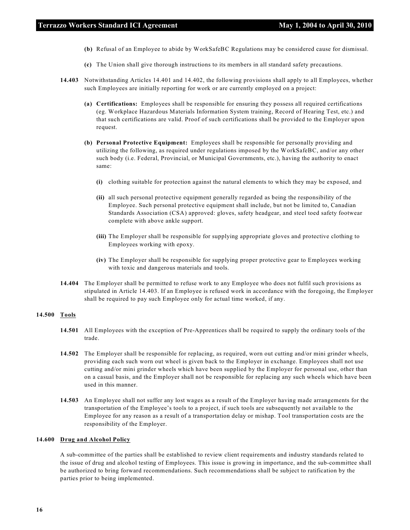- **(b)** Refusal of an Employee to abide by WorkSafeBC Regulations may be considered cause for dismissal.
- **(c)** The Union shall give thorough instructions to its members in all standard safety precautions.
- **14.403** Notwithstanding Articles 14.401 and 14.402, the following provisions shall apply to all Employees, whether such Employees are initially reporting for work or are currently employed on a project:
	- **(a) Certifications:** Employees shall be responsible for ensuring they possess all required certifications (eg. Workplace Hazardous Materials Information System training, Record of Hearing Test, etc.) and that such certifications are valid. Proof of such certifications shall be provided to the Employer upon request.
	- **(b) Personal Protective Equipment:** Employees shall be responsible for personally providing and utilizing the following, as required under regulations imposed by the WorkSafeBC, and/or any other such body (i.e. Federal, Provincial, or Municipal Governments, etc.), having the authority to enact same:
		- **(i)** clothing suitable for protection against the natural elements to which they may be exposed, and
		- **(ii)** all such personal protective equipment generally regarded as being the responsibility of the Employee. Such personal protective equipment shall include, but not be limited to, Canadian Standards Association (CSA) approved: gloves, safety headgear, and steel toed safety footwear complete with above ankle support.
		- **(iii)** The Employer shall be responsible for supplying appropriate gloves and protective clothing to Employees working with epoxy.
		- **(iv)** The Employer shall be responsible for supplying proper protective gear to Employees working with toxic and dangerous materials and tools.
- **14.404** The Employer shall be permitted to refuse work to any Employee who does not fulfil such provisions as stipulated in Article 14.403. If an Employee is refused work in accordance with the foregoing, the Employer shall be required to pay such Employee only for actual time worked, if any.

#### **14.500 Tools**

- **14.501** All Employees with the exception of Pre-Apprentices shall be required to supply the ordinary tools of the trade.
- **14.502** The Employer shall be responsible for replacing, as required, worn out cutting and/or mini grinder wheels, providing each such worn out wheel is given back to the Employer in exchange. Employees shall not use cutting and/or mini grinder wheels which have been supplied by the Employer for personal use, other than on a casual basis, and the Employer shall not be responsible for replacing any such wheels which have been used in this manner.
- **14.503** An Employee shall not suffer any lost wages as a result of the Employer having made arrangements for the transportation of the Employee's tools to a project, if such tools are subsequently not available to the Employee for any reason as a result of a transportation delay or mishap. Tool transportation costs are the responsibility of the Employer.

#### **14.600 Drug and Alcohol Policy**

A sub-committee of the parties shall be established to review client requirements and industry standards related to the issue of drug and alcohol testing of Employees. This issue is growing in importance, and the sub-committee shall be authorized to bring forward recommendations. Such recommendations shall be subject to ratification by the parties prior to being implemented.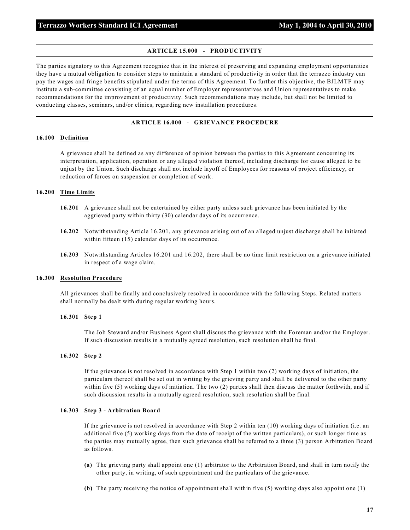#### **ARTICLE 15.000 - PRODUCTIVITY**

The parties signatory to this Agreement recognize that in the interest of preserving and expanding employment opportunities they have a mutual obligation to consider steps to maintain a standard of productivity in order that the terrazzo industry can pay the wages and fringe benefits stipulated under the terms of this Agreement. To further this objective, the BJLMTF may institute a sub-committee consisting of an equal number of Employer representatives and Union representatives to make recommendations for the improvement of productivity. Such recommendations may include, but shall not be limited to conducting classes, seminars, and/or clinics, regarding new installation procedures.

#### **ARTICLE 16.000 - GRIEVANCE PROCEDURE**

#### **16.100 Definition**

A grievance shall be defined as any difference of opinion between the parties to this Agreement concerning its interpretation, application, operation or any alleged violation thereof, including discharge for cause alleged to be unjust by the Union. Such discharge shall not include layoff of Employees for reasons of project efficiency, or reduction of forces on suspension or completion of work.

#### **16.200 Time Limits**

- **16.201** A grievance shall not be entertained by either party unless such grievance has been initiated by the aggrieved party within thirty (30) calendar days of its occurrence.
- **16.202** Notwithstanding Article 16.201, any grievance arising out of an alleged unjust discharge shall be initiated within fifteen (15) calendar days of its occurrence.
- **16.203** Notwithstanding Articles 16.201 and 16.202, there shall be no time limit restriction on a grievance initiated in respect of a wage claim.

#### **16.300 Resolution Procedure**

All grievances shall be finally and conclusively resolved in accordance with the following Steps. Related matters shall normally be dealt with during regular working hours.

#### **16.301 Step 1**

The Job Steward and/or Business Agent shall discuss the grievance with the Foreman and/or the Employer. If such discussion results in a mutually agreed resolution, such resolution shall be final.

#### **16.302 Step 2**

If the grievance is not resolved in accordance with Step 1 within two (2) working days of initiation, the particulars thereof shall be set out in writing by the grieving party and shall be delivered to the other party within five (5) working days of initiation. The two (2) parties shall then discuss the matter forthwith, and if such discussion results in a mutually agreed resolution, such resolution shall be final.

#### **16.303 Step 3 - Arbitration Board**

If the grievance is not resolved in accordance with Step 2 within ten (10) working days of initiation (i.e. an additional five (5) working days from the date of receipt of the written particulars), or such longer time as the parties may mutually agree, then such grievance shall be referred to a three (3) person Arbitration Board as follows.

- **(a)** The grieving party shall appoint one (1) arbitrator to the Arbitration Board, and shall in turn notify the other party, in writing, of such appointment and the particulars of the grievance.
- **(b)** The party receiving the notice of appointment shall within five (5) working days also appoint one (1)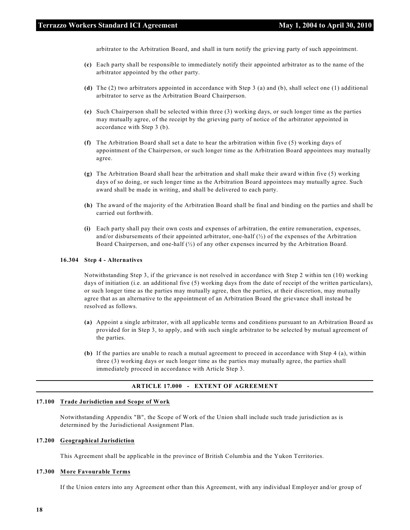arbitrator to the Arbitration Board, and shall in turn notify the grieving party of such appointment.

- **(c)** Each party shall be responsible to immediately notify their appointed arbitrator as to the name of the arbitrator appointed by the other party.
- **(d)** The (2) two arbitrators appointed in accordance with Step 3 (a) and (b), shall select one (1) additional arbitrator to serve as the Arbitration Board Chairperson.
- **(e)** Such Chairperson shall be selected within three (3) working days, or such longer time as the parties may mutually agree, of the receipt by the grieving party of notice of the arbitrator appointed in accordance with Step 3 (b).
- **(f)** The Arbitration Board shall set a date to hear the arbitration within five (5) working days of appointment of the Chairperson, or such longer time as the Arbitration Board appointees may mutually agree.
- **(g)** The Arbitration Board shall hear the arbitration and shall make their award within five (5) working days of so doing, or such longer time as the Arbitration Board appointees may mutually agree. Such award shall be made in writing, and shall be delivered to each party.
- **(h)** The award of the majority of the Arbitration Board shall be final and binding on the parties and shall be carried out forthwith.
- **(i)** Each party shall pay their own costs and expenses of arbitration, the entire remuneration, expenses, and/or disbursements of their appointed arbitrator, one-half  $\binom{1}{2}$  of the expenses of the Arbitration Board Chairperson, and one-half (½) of any other expenses incurred by the Arbitration Board.

#### **16.304 Step 4 - Alternatives**

Notwithstanding Step 3, if the grievance is not resolved in accordance with Step 2 within ten (10) working days of initiation (i.e. an additional five (5) working days from the date of receipt of the written particulars), or such longer time as the parties may mutually agree, then the parties, at their discretion, may mutually agree that as an alternative to the appointment of an Arbitration Board the grievance shall instead be resolved as follows.

- **(a)** Appoint a single arbitrator, with all applicable terms and conditions pursuant to an Arbitration Board as provided for in Step 3, to apply, and with such single arbitrator to be selected by mutual agreement of the parties.
- **(b)** If the parties are unable to reach a mutual agreement to proceed in accordance with Step 4 (a), within three (3) working days or such longer time as the parties may mutually agree, the parties shall immediately proceed in accordance with Article Step 3.

#### **ARTICLE 17.000 - EXTENT OF AGREEMENT**

#### **17.100 Trade Jurisdiction and Scope of Work**

Notwithstanding Appendix "B", the Scope of Work of the Union shall include such trade jurisdiction as is determined by the Jurisdictional Assignment Plan.

#### **17.200 Geographical Jurisdiction**

This Agreement shall be applicable in the province of British Columbia and the Yukon Territories.

#### **17.300 More Favourable Terms**

If the Union enters into any Agreement other than this Agreement, with any individual Employer and/or group of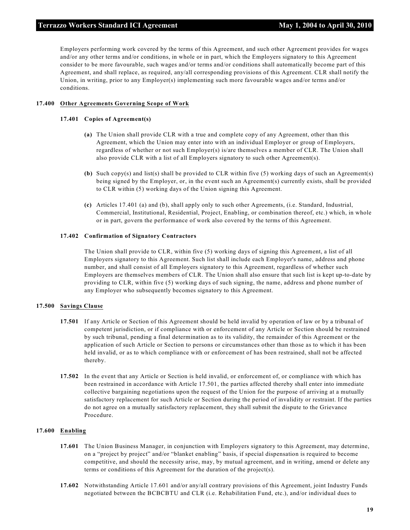Employers performing work covered by the terms of this Agreement, and such other Agreement provides for wages and/or any other terms and/or conditions, in whole or in part, which the Employers signatory to this Agreement consider to be more favourable, such wages and/or terms and/or conditions shall automatically become part of this Agreement, and shall replace, as required, any/all corresponding provisions of this Agreement. CLR shall notify the Union, in writing, prior to any Employer(s) implementing such more favourable wages and/or terms and/or conditions.

## **17.400 Other Agreements Governing Scope of Work**

#### **17.401 Copies of Agreement(s)**

- **(a)** The Union shall provide CLR with a true and complete copy of any Agreement, other than this Agreement, which the Union may enter into with an individual Employer or group of Employers, regardless of whether or not such Employer(s) is/are themselves a member of CLR. The Union shall also provide CLR with a list of all Employers signatory to such other Agreement(s).
- **(b)** Such copy(s) and list(s) shall be provided to CLR within five (5) working days of such an Agreement(s) being signed by the Employer, or, in the event such an Agreement(s) currently exists, shall be provided to CLR within (5) working days of the Union signing this Agreement.
- **(c)** Articles 17.401 (a) and (b), shall apply only to such other Agreements, (i.e. Standard, Industrial, Commercial, Institutional, Residential, Project, Enabling, or combination thereof, etc.) which, in whole or in part, govern the performance of work also covered by the terms of this Agreement.

#### **17.402 Confirmation of Signatory Contractors**

The Union shall provide to CLR, within five (5) working days of signing this Agreement, a list of all Employers signatory to this Agreement. Such list shall include each Employer's name, address and phone number, and shall consist of all Employers signatory to this Agreement, regardless of whether such Employers are themselves members of CLR. The Union shall also ensure that such list is kept up-to-date by providing to CLR, within five (5) working days of such signing, the name, address and phone number of any Employer who subsequently becomes signatory to this Agreement.

#### **17.500 Savings Clause**

- **17.501** If any Article or Section of this Agreement should be held invalid by operation of law or by a tribunal of competent jurisdiction, or if compliance with or enforcement of any Article or Section should be restrained by such tribunal, pending a final determination as to its validity, the remainder of this Agreement or the application of such Article or Section to persons or circumstances other than those as to which it has been held invalid, or as to which compliance with or enforcement of has been restrained, shall not be affected thereby.
- **17.502** In the event that any Article or Section is held invalid, or enforcement of, or compliance with which has been restrained in accordance with Article 17.501, the parties affected thereby shall enter into immediate collective bargaining negotiations upon the request of the Union for the purpose of arriving at a mutually satisfactory replacement for such Article or Section during the period of invalidity or restraint. If the parties do not agree on a mutually satisfactory replacement, they shall submit the dispute to the Grievance Procedure.

#### **17.600 Enabling**

- **17.601** The Union Business Manager, in conjunction with Employers signatory to this Agreement, may determine, on a "project by project" and/or "blanket enabling" basis, if special dispensation is required to become competitive, and should the necessity arise, may, by mutual agreement, and in writing, amend or delete any terms or conditions of this Agreement for the duration of the project(s).
- **17.602** Notwithstanding Article 17.601 and/or any/all contrary provisions of this Agreement, joint Industry Funds negotiated between the BCBCBTU and CLR (i.e. Rehabilitation Fund, etc.), and/or individual dues to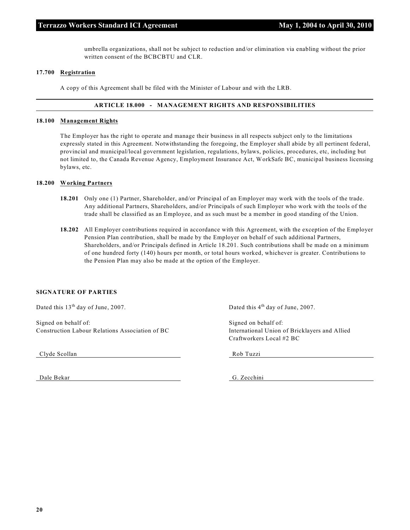umbrella organizations, shall not be subject to reduction and/or elimination via enabling without the prior written consent of the BCBCBTU and CLR.

#### **17.700 Registration**

A copy of this Agreement shall be filed with the Minister of Labour and with the LRB.

#### **ARTICLE 18.000 - MANAGEMENT RIGHTS AND RESPONSIBILITIES**

#### **18.100 Management Rights**

The Employer has the right to operate and manage their business in all respects subject only to the limitations expressly stated in this Agreement. Notwithstanding the foregoing, the Employer shall abide by all pertinent federal, provincial and municipal/local government legislation, regulations, bylaws, policies, procedures, etc, including but not limited to, the Canada Revenue Agency, Employment Insurance Act, WorkSafe BC, municipal business licensing bylaws, etc.

#### **18.200 Working Partners**

- **18.201** Only one (1) Partner, Shareholder, and/or Principal of an Employer may work with the tools of the trade. Any additional Partners, Shareholders, and/or Principals of such Employer who work with the tools of the trade shall be classified as an Employee, and as such must be a member in good standing of the Union.
- **18.202** All Employer contributions required in accordance with this Agreement, with the exception of the Employer Pension Plan contribution, shall be made by the Employer on behalf of such additional Partners, Shareholders, and/or Principals defined in Article 18.201. Such contributions shall be made on a minimum of one hundred forty (140) hours per month, or total hours worked, whichever is greater. Contributions to the Pension Plan may also be made at the option of the Employer.

#### **SIGNATURE OF PARTIES**

Signed on behalf of: Signed on behalf of: Signed on behalf of: Construction Labour Relations Association of BC International Union of Bricklayers and Allied

Clyde Scollan Rob Tuzzi

Dale Bekar G. Zecchini

Dated this  $13<sup>th</sup>$  day of June, 2007. Dated this  $4<sup>th</sup>$  day of June, 2007.

Craftworkers Local #2 BC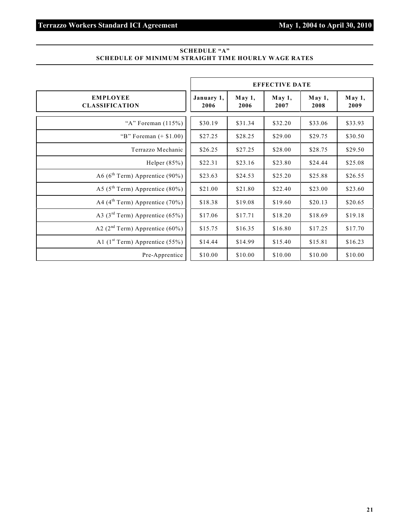## **SCHEDULE "A" SCHEDULE OF MINIMUM STRAIGHT TIME HOURLY WAGE RATES**

|                                             |                    |                | <b>EFFECTIVE DATE</b> |                |                |
|---------------------------------------------|--------------------|----------------|-----------------------|----------------|----------------|
| <b>EMPLOYEE</b><br><b>CLASSIFICATION</b>    | January 1,<br>2006 | May 1,<br>2006 | May 1,<br>2007        | May 1,<br>2008 | May 1,<br>2009 |
| "A" Foreman $(115%)$                        | \$30.19            | \$31.34        | \$32.20               | \$33.06        | \$33.93        |
| "B" Foreman $(+ $1.00)$                     | \$27.25            | \$28.25        | \$29.00               | \$29.75        | \$30.50        |
| Terrazzo Mechanic                           | \$26.25            | \$27.25        | \$28.00               | \$28.75        | \$29.50        |
| Helper $(85%)$                              | \$22.31            | \$23.16        | \$23.80               | \$24.44        | \$25.08        |
| A6 ( $6^{\text{th}}$ Term) Apprentice (90%) | \$23.63            | \$24.53        | \$25.20               | \$25.88        | \$26.55        |
| A5 ( $5^{\text{th}}$ Term) Apprentice (80%) | \$21.00            | \$21.80        | \$22.40               | \$23.00        | \$23.60        |
| A4 ( $4^{\text{th}}$ Term) Apprentice (70%) | \$18.38            | \$19.08        | \$19.60               | \$20.13        | \$20.65        |
| A3 ( $3rd$ Term) Apprentice (65%)           | \$17.06            | \$17.71        | \$18.20               | \$18.69        | \$19.18        |
| A2 $(2nd Term)$ Apprentice (60%)            | \$15.75            | \$16.35        | \$16.80               | \$17.25        | \$17.70        |
| A1 $(1st Term)$ Apprentice (55%)            | \$14.44            | \$14.99        | \$15.40               | \$15.81        | \$16.23        |
| Pre-Apprentice                              | \$10.00            | \$10.00        | \$10.00               | \$10.00        | \$10.00        |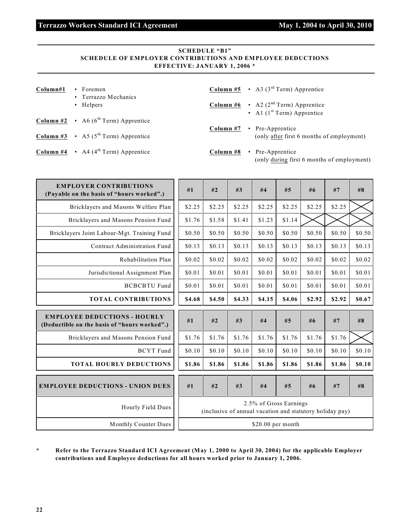#### **SCHEDULE "B1" SCHEDULE OF EMPLOYER CONTRIBUTIONS AND EMPLOYEE DEDUCTIONS EFFECTIVE: JANUARY 1, 2006 \***

| Column#1 | $\cdot$ Foremen<br>• Terrazzo Mechanics                       | <b>Column #5</b> • A3 ( $3^{\text{rd}}$ Term) Apprentice                                      |  |
|----------|---------------------------------------------------------------|-----------------------------------------------------------------------------------------------|--|
|          | • Helpers                                                     | <b>Column #6</b> $\cdot$ A2 (2 <sup>nd</sup> Term) Apprentice<br>• Al $(1st Term)$ Apprentice |  |
|          | <b>Column #2</b> $\cdot$ A6 (6 <sup>th</sup> Term) Apprentice | Column #7<br>• Pre-Apprentice                                                                 |  |
|          | <b>Column #3</b> • A5 ( $5^{\text{th}}$ Term) Apprentice      | (only after first 6 months of employment)                                                     |  |
|          | <b>Column #4</b> $\cdot$ A4 (4 <sup>th</sup> Term) Apprentice | Column #8<br>• Pre-Apprentice<br>(only during first 6 months of employment)                   |  |

| <b>EMPLOYER CONTRIBUTIONS</b><br>(Payable on the basis of "hours worked".)          | #1     | #2     | #3                                                       | #4     | #5                     | #6     | #7     | #8     |
|-------------------------------------------------------------------------------------|--------|--------|----------------------------------------------------------|--------|------------------------|--------|--------|--------|
| Bricklayers and Masons Welfare Plan                                                 | \$2.25 | \$2.25 | \$2.25                                                   | \$2.25 | \$2.25                 | \$2.25 | \$2.25 |        |
| Bricklayers and Masons Pension Fund                                                 | \$1.76 | \$1.58 | \$1.41                                                   | \$1.23 | \$1.14                 |        |        |        |
| Bricklayers Joint Labour-Mgt. Training Fund                                         | \$0.50 | \$0.50 | \$0.50                                                   | \$0.50 | \$0.50                 | \$0.50 | \$0.50 | \$0.50 |
| Contract Administration Fund                                                        | \$0.13 | \$0.13 | \$0.13                                                   | \$0.13 | \$0.13                 | \$0.13 | \$0.13 | \$0.13 |
| Rehabilitation Plan                                                                 | \$0.02 | \$0.02 | \$0.02                                                   | \$0.02 | \$0.02                 | \$0.02 | \$0.02 | \$0.02 |
| Jurisdictional Assignment Plan                                                      | \$0.01 | \$0.01 | \$0.01                                                   | \$0.01 | \$0.01                 | \$0.01 | \$0.01 | \$0.01 |
| <b>BCBCBTU Fund</b>                                                                 | \$0.01 | \$0.01 | \$0.01                                                   | \$0.01 | \$0.01                 | \$0.01 | \$0.01 | \$0.01 |
| <b>TOTAL CONTRIBUTIONS</b>                                                          | \$4.68 | \$4.50 | \$4.33                                                   | \$4.15 | \$4.06                 | \$2.92 | \$2.92 | \$0.67 |
|                                                                                     |        |        |                                                          |        |                        |        |        |        |
| <b>EMPLOYEE DEDUCTIONS - HOURLY</b><br>(Deductible on the basis of "hours worked".) | #1     | #2     | #3                                                       | #4     | #5                     | #6     | #7     | #8     |
| Bricklayers and Masons Pension Fund                                                 | \$1.76 | \$1.76 | \$1.76                                                   | \$1.76 | \$1.76                 | \$1.76 | \$1.76 |        |
| <b>BCYT</b> Fund                                                                    | \$0.10 | \$0.10 | \$0.10                                                   | \$0.10 | \$0.10                 | \$0.10 | \$0.10 | \$0.10 |
| <b>TOTAL HOURLY DEDUCTIONS</b>                                                      | \$1.86 | \$1.86 | \$1.86                                                   | \$1.86 | \$1.86                 | \$1.86 | \$1.86 | \$0.10 |
| <b>EMPLOYEE DEDUCTIONS - UNION DUES</b>                                             | #1     | #2     | #3                                                       | #4     | #5                     | #6     | #7     | #8     |
| Hourly Field Dues                                                                   |        |        | (inclusive of annual vacation and statutory holiday pay) |        | 2.5% of Gross Earnings |        |        |        |

**\* Refer to the Terrazzo Standard ICI Agreement (May 1, 2000 to April 30, 2004) for the applicable Employer contributions and Employee deductions for all hours worked prior to January 1, 2006.**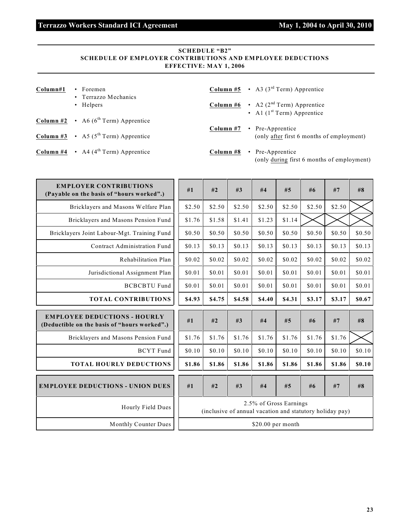## **SCHEDULE "B2" SCHEDULE OF EMPLOYER CONTRIBUTIONS AND EMPLOYEE DEDUCTIONS EFFECTIVE: MAY 1, 2006**

| Column#1 | $\cdot$ Foremen<br>• Terrazzo Mechanics                       |           | <b>Column #5</b> • A3 ( $3^{\text{rd}}$ Term) Apprentice                                      |
|----------|---------------------------------------------------------------|-----------|-----------------------------------------------------------------------------------------------|
|          | • Helpers                                                     |           | <b>Column #6</b> $\cdot$ A2 (2 <sup>nd</sup> Term) Apprentice<br>• Al $(1st Term)$ Apprentice |
|          | <b>Column #2</b> $\cdot$ A6 (6 <sup>th</sup> Term) Apprentice | Column #7 | • Pre-Apprentice                                                                              |
|          | <b>Column #3</b> • A5 ( $5^{\text{th}}$ Term) Apprentice      |           | (only after first 6 months of employment)                                                     |
|          | <b>Column #4</b> $\cdot$ A4 (4 <sup>th</sup> Term) Apprentice | Column #8 | • Pre-Apprentice<br>(only during first 6 months of employment)                                |

| <b>EMPLOYER CONTRIBUTIONS</b><br>(Payable on the basis of "hours worked".)          | #1     | #2     | #3     | #4                     | #5     | #6     | #7                                                       | #8     |
|-------------------------------------------------------------------------------------|--------|--------|--------|------------------------|--------|--------|----------------------------------------------------------|--------|
| Bricklayers and Masons Welfare Plan                                                 | \$2.50 | \$2.50 | \$2.50 | \$2.50                 | \$2.50 | \$2.50 | \$2.50                                                   |        |
| Bricklayers and Masons Pension Fund                                                 | \$1.76 | \$1.58 | \$1.41 | \$1.23                 | \$1.14 |        |                                                          |        |
| Bricklayers Joint Labour-Mgt. Training Fund                                         | \$0.50 | \$0.50 | \$0.50 | \$0.50                 | \$0.50 | \$0.50 | \$0.50                                                   | \$0.50 |
| Contract Administration Fund                                                        | \$0.13 | \$0.13 | \$0.13 | \$0.13                 | \$0.13 | \$0.13 | \$0.13                                                   | \$0.13 |
| Rehabilitation Plan                                                                 | \$0.02 | \$0.02 | \$0.02 | \$0.02                 | \$0.02 | \$0.02 | \$0.02                                                   | \$0.02 |
| Jurisdictional Assignment Plan                                                      | \$0.01 | \$0.01 | \$0.01 | \$0.01                 | \$0.01 | \$0.01 | \$0.01                                                   | \$0.01 |
| <b>BCBCBTU Fund</b>                                                                 | \$0.01 | \$0.01 | \$0.01 | \$0.01                 | \$0.01 | \$0.01 | \$0.01                                                   | \$0.01 |
| <b>TOTAL CONTRIBUTIONS</b>                                                          | \$4.93 | \$4.75 | \$4.58 | \$4.40                 | \$4.31 | \$3.17 | \$3.17                                                   | \$0.67 |
|                                                                                     |        |        |        |                        |        |        |                                                          |        |
| <b>EMPLOYEE DEDUCTIONS - HOURLY</b><br>(Deductible on the basis of "hours worked".) | #1     | #2     | #3     | #4                     | #5     | #6     | #7                                                       | #8     |
| Bricklayers and Masons Pension Fund                                                 | \$1.76 | \$1.76 | \$1.76 | \$1.76                 | \$1.76 | \$1.76 | \$1.76                                                   |        |
| <b>BCYT</b> Fund                                                                    | \$0.10 | \$0.10 | \$0.10 | \$0.10                 | \$0.10 | \$0.10 | \$0.10                                                   | \$0.10 |
| <b>TOTAL HOURLY DEDUCTIONS</b>                                                      | \$1.86 | \$1.86 | \$1.86 | \$1.86                 | \$1.86 | \$1.86 | \$1.86                                                   | \$0.10 |
| <b>EMPLOYEE DEDUCTIONS - UNION DUES</b>                                             | #1     | #2     | #3     | #4                     | #5     | #6     | #7                                                       | #8     |
| Hourly Field Dues                                                                   |        |        |        | 2.5% of Gross Earnings |        |        | (inclusive of annual vacation and statutory holiday pay) |        |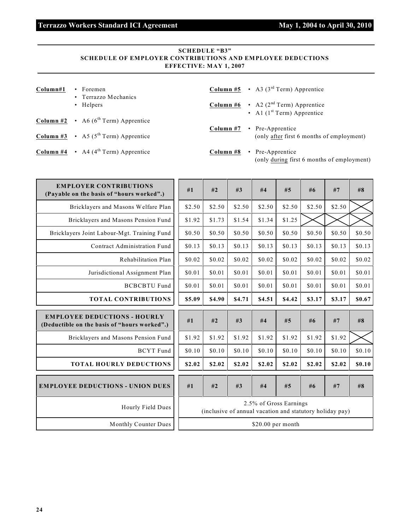### **SCHEDULE "B3" SCHEDULE OF EMPLOYER CONTRIBUTIONS AND EMPLOYEE DEDUCTIONS EFFECTIVE: MAY 1, 2007**

| Column#1 | $\cdot$ Foremen<br>• Terrazzo Mechanics                       |           | <b>Column #5</b> • A3 ( $3^{\text{rd}}$ Term) Apprentice                                      |
|----------|---------------------------------------------------------------|-----------|-----------------------------------------------------------------------------------------------|
|          | • Helpers                                                     |           | <b>Column #6</b> $\cdot$ A2 (2 <sup>nd</sup> Term) Apprentice<br>• Al $(1st Term)$ Apprentice |
|          | <b>Column #2</b> $\cdot$ A6 (6 <sup>th</sup> Term) Apprentice | Column #7 | • Pre-Apprentice                                                                              |
|          | <b>Column #3</b> • A5 ( $5^{\text{th}}$ Term) Apprentice      |           | (only after first 6 months of employment)                                                     |
|          | <b>Column #4</b> $\cdot$ A4 (4 <sup>th</sup> Term) Apprentice | Column #8 | • Pre-Apprentice<br>(only during first 6 months of employment)                                |

| <b>EMPLOYER CONTRIBUTIONS</b><br>(Payable on the basis of "hours worked".)          | #1     | #2     | #3                                                       | #4     | #5                     | #6     | #7     | #8     |
|-------------------------------------------------------------------------------------|--------|--------|----------------------------------------------------------|--------|------------------------|--------|--------|--------|
| Bricklayers and Masons Welfare Plan                                                 | \$2.50 | \$2.50 | \$2.50                                                   | \$2.50 | \$2.50                 | \$2.50 | \$2.50 |        |
| Bricklayers and Masons Pension Fund                                                 | \$1.92 | \$1.73 | \$1.54                                                   | \$1.34 | \$1.25                 |        |        |        |
| Bricklayers Joint Labour-Mgt. Training Fund                                         | \$0.50 | \$0.50 | \$0.50                                                   | \$0.50 | \$0.50                 | \$0.50 | \$0.50 | \$0.50 |
| Contract Administration Fund                                                        | \$0.13 | \$0.13 | \$0.13                                                   | \$0.13 | \$0.13                 | \$0.13 | \$0.13 | \$0.13 |
| Rehabilitation Plan                                                                 | \$0.02 | \$0.02 | \$0.02                                                   | \$0.02 | \$0.02                 | \$0.02 | \$0.02 | \$0.02 |
| Jurisdictional Assignment Plan                                                      | \$0.01 | \$0.01 | \$0.01                                                   | \$0.01 | \$0.01                 | \$0.01 | \$0.01 | \$0.01 |
| <b>BCBCBTU Fund</b>                                                                 | \$0.01 | \$0.01 | \$0.01                                                   | \$0.01 | \$0.01                 | \$0.01 | \$0.01 | \$0.01 |
| <b>TOTAL CONTRIBUTIONS</b>                                                          | \$5.09 | \$4.90 | \$4.71                                                   | \$4.51 | \$4.42                 | \$3.17 | \$3.17 | \$0.67 |
|                                                                                     |        |        |                                                          |        |                        |        |        |        |
| <b>EMPLOYEE DEDUCTIONS - HOURLY</b><br>(Deductible on the basis of "hours worked".) | #1     | #2     | #3                                                       | #4     | #5                     | #6     | #7     | #8     |
| Bricklayers and Masons Pension Fund                                                 | \$1.92 | \$1.92 | \$1.92                                                   | \$1.92 | \$1.92                 | \$1.92 | \$1.92 |        |
| <b>BCYT</b> Fund                                                                    | \$0.10 | \$0.10 | \$0.10                                                   | \$0.10 | \$0.10                 | \$0.10 | \$0.10 | \$0.10 |
| <b>TOTAL HOURLY DEDUCTIONS</b>                                                      | \$2.02 | \$2.02 | \$2.02                                                   | \$2.02 | \$2.02                 | \$2.02 | \$2.02 | \$0.10 |
| <b>EMPLOYEE DEDUCTIONS - UNION DUES</b>                                             | #1     | #2     | #3                                                       | #4     | #5                     | #6     | #7     | #8     |
| Hourly Field Dues                                                                   |        |        | (inclusive of annual vacation and statutory holiday pay) |        | 2.5% of Gross Earnings |        |        |        |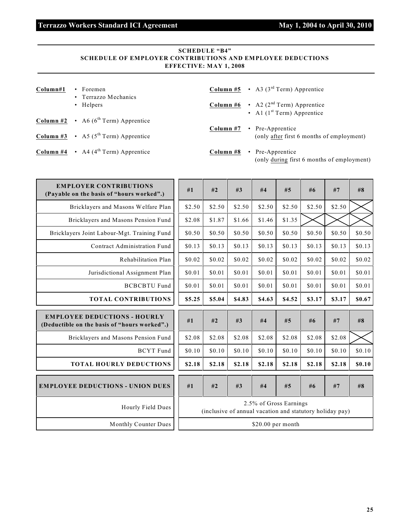## **SCHEDULE "B4" SCHEDULE OF EMPLOYER CONTRIBUTIONS AND EMPLOYEE DEDUCTIONS EFFECTIVE: MAY 1, 2008**

| Column#1 | $\cdot$ Foremen<br>• Terrazzo Mechanics                       |           | <b>Column #5</b> • A3 ( $3^{\text{rd}}$ Term) Apprentice                                      |
|----------|---------------------------------------------------------------|-----------|-----------------------------------------------------------------------------------------------|
|          | • Helpers                                                     |           | <b>Column #6</b> $\cdot$ A2 (2 <sup>nd</sup> Term) Apprentice<br>• Al $(1st Term)$ Apprentice |
|          | <b>Column #2</b> $\cdot$ A6 (6 <sup>th</sup> Term) Apprentice | Column #7 | • Pre-Apprentice                                                                              |
|          | <b>Column #3</b> • A5 ( $5^{\text{th}}$ Term) Apprentice      |           | (only after first 6 months of employment)                                                     |
|          | <b>Column #4</b> $\cdot$ A4 (4 <sup>th</sup> Term) Apprentice | Column #8 | • Pre-Apprentice<br>(only during first 6 months of employment)                                |

| <b>EMPLOYER CONTRIBUTIONS</b><br>(Payable on the basis of "hours worked".)          | #1     | #2     | #3                                                       | #4                     | #5     | #6     | #7     | #8     |
|-------------------------------------------------------------------------------------|--------|--------|----------------------------------------------------------|------------------------|--------|--------|--------|--------|
| Bricklayers and Masons Welfare Plan                                                 | \$2.50 | \$2.50 | \$2.50                                                   | \$2.50                 | \$2.50 | \$2.50 | \$2.50 |        |
| Bricklayers and Masons Pension Fund                                                 | \$2.08 | \$1.87 | \$1.66                                                   | \$1.46                 | \$1.35 |        |        |        |
| Bricklayers Joint Labour-Mgt. Training Fund                                         | \$0.50 | \$0.50 | \$0.50                                                   | \$0.50                 | \$0.50 | \$0.50 | \$0.50 | \$0.50 |
| Contract Administration Fund                                                        | \$0.13 | \$0.13 | \$0.13                                                   | \$0.13                 | \$0.13 | \$0.13 | \$0.13 | \$0.13 |
| Rehabilitation Plan                                                                 | \$0.02 | \$0.02 | \$0.02                                                   | \$0.02                 | \$0.02 | \$0.02 | \$0.02 | \$0.02 |
| Jurisdictional Assignment Plan                                                      | \$0.01 | \$0.01 | \$0.01                                                   | \$0.01                 | \$0.01 | \$0.01 | \$0.01 | \$0.01 |
| <b>BCBCBTU Fund</b>                                                                 | \$0.01 | \$0.01 | \$0.01                                                   | \$0.01                 | \$0.01 | \$0.01 | \$0.01 | \$0.01 |
| <b>TOTAL CONTRIBUTIONS</b>                                                          | \$5.25 | \$5.04 | \$4.83                                                   | \$4.63                 | \$4.52 | \$3.17 | \$3.17 | \$0.67 |
|                                                                                     |        |        |                                                          |                        |        |        |        |        |
| <b>EMPLOYEE DEDUCTIONS - HOURLY</b><br>(Deductible on the basis of "hours worked".) | #1     | #2     | #3                                                       | #4                     | #5     | #6     | #7     | #8     |
| Bricklayers and Masons Pension Fund                                                 | \$2.08 | \$2.08 | \$2.08                                                   | \$2.08                 | \$2.08 | \$2.08 | \$2.08 |        |
| <b>BCYT</b> Fund                                                                    | \$0.10 | \$0.10 | \$0.10                                                   | \$0.10                 | \$0.10 | \$0.10 | \$0.10 | \$0.10 |
| <b>TOTAL HOURLY DEDUCTIONS</b>                                                      | \$2.18 | \$2.18 | \$2.18                                                   | \$2.18                 | \$2.18 | \$2.18 | \$2.18 | \$0.10 |
| <b>EMPLOYEE DEDUCTIONS - UNION DUES</b>                                             | #1     | #2     | #3                                                       | #4                     | #5     | #6     | #7     | #8     |
| Hourly Field Dues                                                                   |        |        | (inclusive of annual vacation and statutory holiday pay) | 2.5% of Gross Earnings |        |        |        |        |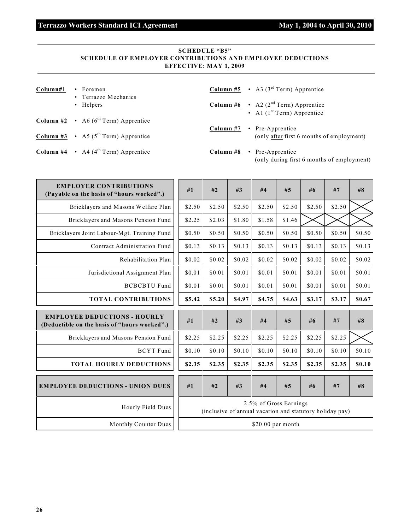## **SCHEDULE "B5" SCHEDULE OF EMPLOYER CONTRIBUTIONS AND EMPLOYEE DEDUCTIONS EFFECTIVE: MAY 1, 2009**

| Column#1 | $\cdot$ Foremen<br>• Terrazzo Mechanics                       |           | <b>Column #5</b> • A3 ( $3^{\text{rd}}$ Term) Apprentice                                      |
|----------|---------------------------------------------------------------|-----------|-----------------------------------------------------------------------------------------------|
|          | • Helpers                                                     |           | <b>Column #6</b> $\cdot$ A2 (2 <sup>nd</sup> Term) Apprentice<br>• Al $(1st Term)$ Apprentice |
|          | <b>Column #2</b> $\cdot$ A6 (6 <sup>th</sup> Term) Apprentice | Column #7 | • Pre-Apprentice                                                                              |
|          | <b>Column #3</b> • A5 ( $5^{\text{th}}$ Term) Apprentice      |           | (only after first 6 months of employment)                                                     |
|          | <b>Column #4</b> $\cdot$ A4 (4 <sup>th</sup> Term) Apprentice | Column #8 | • Pre-Apprentice<br>(only during first 6 months of employment)                                |

| <b>EMPLOYER CONTRIBUTIONS</b><br>(Payable on the basis of "hours worked".)          | #1     | #2     | #3                                                       | #4     | #5                     | #6     | #7     | #8     |
|-------------------------------------------------------------------------------------|--------|--------|----------------------------------------------------------|--------|------------------------|--------|--------|--------|
| Bricklayers and Masons Welfare Plan                                                 | \$2.50 | \$2.50 | \$2.50                                                   | \$2.50 | \$2.50                 | \$2.50 | \$2.50 |        |
| Bricklayers and Masons Pension Fund                                                 | \$2.25 | \$2.03 | \$1.80                                                   | \$1.58 | \$1.46                 |        |        |        |
| Bricklayers Joint Labour-Mgt. Training Fund                                         | \$0.50 | \$0.50 | \$0.50                                                   | \$0.50 | \$0.50                 | \$0.50 | \$0.50 | \$0.50 |
| Contract Administration Fund                                                        | \$0.13 | \$0.13 | \$0.13                                                   | \$0.13 | \$0.13                 | \$0.13 | \$0.13 | \$0.13 |
| Rehabilitation Plan                                                                 | \$0.02 | \$0.02 | \$0.02                                                   | \$0.02 | \$0.02                 | \$0.02 | \$0.02 | \$0.02 |
| Jurisdictional Assignment Plan                                                      | \$0.01 | \$0.01 | \$0.01                                                   | \$0.01 | \$0.01                 | \$0.01 | \$0.01 | \$0.01 |
| <b>BCBCBTU Fund</b>                                                                 | \$0.01 | \$0.01 | \$0.01                                                   | \$0.01 | \$0.01                 | \$0.01 | \$0.01 | \$0.01 |
| <b>TOTAL CONTRIBUTIONS</b>                                                          | \$5.42 | \$5.20 | \$4.97                                                   | \$4.75 | \$4.63                 | \$3.17 | \$3.17 | \$0.67 |
|                                                                                     |        |        |                                                          |        |                        |        |        |        |
| <b>EMPLOYEE DEDUCTIONS - HOURLY</b><br>(Deductible on the basis of "hours worked".) | #1     | #2     | #3                                                       | #4     | #5                     | #6     | #7     | #8     |
| Bricklayers and Masons Pension Fund                                                 | \$2.25 | \$2.25 | \$2.25                                                   | \$2.25 | \$2.25                 | \$2.25 | \$2.25 |        |
| <b>BCYT</b> Fund                                                                    | \$0.10 | \$0.10 | \$0.10                                                   | \$0.10 | \$0.10                 | \$0.10 | \$0.10 | \$0.10 |
| <b>TOTAL HOURLY DEDUCTIONS</b>                                                      | \$2.35 | \$2.35 | \$2.35                                                   | \$2.35 | \$2.35                 | \$2.35 | \$2.35 | \$0.10 |
| <b>EMPLOYEE DEDUCTIONS - UNION DUES</b>                                             | #1     | #2     | #3                                                       | #4     | #5                     | #6     | #7     | #8     |
| Hourly Field Dues                                                                   |        |        | (inclusive of annual vacation and statutory holiday pay) |        | 2.5% of Gross Earnings |        |        |        |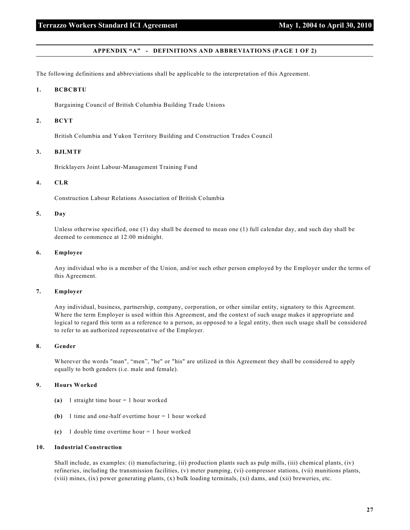#### **APPENDIX "A" - DEFINITIONS AND ABBREVIATIONS (PAGE 1 OF 2)**

The following definitions and abbreviations shall be applicable to the interpretation of this Agreement.

#### **1. BCBCBTU**

Bargaining Council of British Columbia Building Trade Unions

#### **2. BCYT**

British Columbia and Yukon Territory Building and Construction Trades Council

#### **3. BJLMTF**

Bricklayers Joint Labour-Management Training Fund

#### **4. CLR**

Construction Labour Relations Association of British Columbia

#### **5. Day**

Unless otherwise specified, one (1) day shall be deemed to mean one (1) full calendar day, and such day shall be deemed to commence at 12:00 midnight.

#### **6. Employee**

Any individual who is a member of the Union, and/or such other person employed by the Employer under the terms of this Agreement.

#### **7. Employer**

Any individual, business, partnership, company, corporation, or other similar entity, signatory to this Agreement. Where the term Employer is used within this Agreement, and the context of such usage makes it appropriate and logical to regard this term as a reference to a person, as opposed to a legal entity, then such usage shall be considered to refer to an authorized representative of the Employer.

#### **8. Gender**

Wherever the words "man", "men", "he" or "his" are utilized in this Agreement they shall be considered to apply equally to both genders (i.e. male and female).

#### **9. Hours Worked**

- **(a)** 1 straight time hour = 1 hour worked
- **(b)** 1 time and one-half overtime hour = 1 hour worked
- **(c)** 1 double time overtime hour = 1 hour worked

#### **10. Industrial Construction**

Shall include, as examples: (i) manufacturing, (ii) production plants such as pulp mills, (iii) chemical plants, (iv) refineries, including the transmission facilities, (v) meter pumping, (vi) compressor stations, (vii) munitions plants, (viii) mines, (ix) power generating plants, (x) bulk loading terminals, (xi) dams, and (xii) breweries, etc.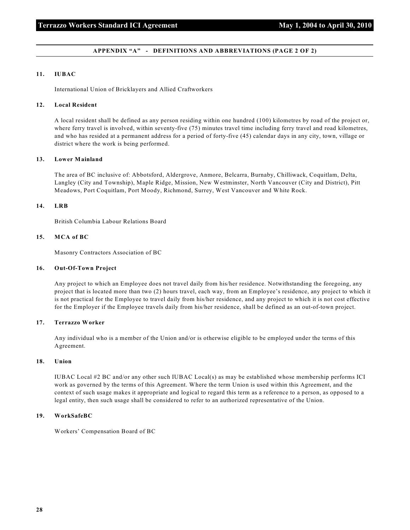#### **APPENDIX "A" - DEFINITIONS AND ABBREVIATIONS (PAGE 2 OF 2)**

#### **11. IUBAC**

International Union of Bricklayers and Allied Craftworkers

#### **12. Local Resident**

A local resident shall be defined as any person residing within one hundred (100) kilometres by road of the project or, where ferry travel is involved, within seventy-five (75) minutes travel time including ferry travel and road kilometres, and who has resided at a permanent address for a period of forty-five (45) calendar days in any city, town, village or district where the work is being performed.

#### **13. Lower Mainland**

The area of BC inclusive of: Abbotsford, Aldergrove, Anmore, Belcarra, Burnaby, Chilliwack, Coquitlam, Delta, Langley (City and Township), Maple Ridge, Mission, New Westminster, North Vancouver (City and District), Pitt Meadows, Port Coquitlam, Port Moody, Richmond, Surrey, West Vancouver and White Rock.

#### **14. LRB**

British Columbia Labour Relations Board

#### **15. MCA of BC**

Masonry Contractors Association of BC

#### **16. Out-Of-Town Project**

Any project to which an Employee does not travel daily from his/her residence. Notwithstanding the foregoing, any project that is located more than two (2) hours travel, each way, from an Employee's residence, any project to which it is not practical for the Employee to travel daily from his/her residence, and any project to which it is not cost effective for the Employer if the Employee travels daily from his/her residence, shall be defined as an out-of-town project.

#### **17. Terrazzo Worker**

Any individual who is a member of the Union and/or is otherwise eligible to be employed under the terms of this Agreement.

#### **18. Union**

IUBAC Local #2 BC and/or any other such IUBAC Local(s) as may be established whose membership performs ICI work as governed by the terms of this Agreement. Where the term Union is used within this Agreement, and the context of such usage makes it appropriate and logical to regard this term as a reference to a person, as opposed to a legal entity, then such usage shall be considered to refer to an authorized representative of the Union.

#### **19. WorkSafeBC**

Workers' Compensation Board of BC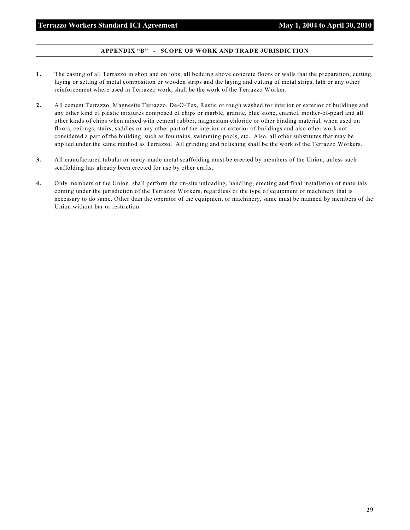#### **APPENDIX "B" - SCOPE OF WORK AND TRADE JURISDICTION**

- **1.** The casting of all Terrazzo in shop and on jobs, all bedding above concrete floors or walls that the preparation, cutting, laying or setting of metal composition or wooden strips and the laying and cutting of metal strips, lath or any other reinforcement where used in Terrazzo work, shall be the work of the Terrazzo Worker.
- **2.** All cement Terrazzo, Magnesite Terrazzo, De-O-Tex, Rustic or rough washed for interior or exterior of buildings and any other kind of plastic mixtures composed of chips or marble, granite, blue stone, enamel, mother-of-pearl and all other kinds of chips when mixed with cement rubber, magnesium chloride or other binding material, when used on floors, ceilings, stairs, saddles or any other part of the interior or exterior of buildings and also other work not considered a part of the building, such as fountains, swimming pools, etc. Also, all other substitutes that may be applied under the same method as Terrazzo. All grinding and polishing shall be the work of the Terrazzo Workers.
- **3.** All manufactured tubular or ready-made metal scaffolding must be erected by members of the Union, unless such scaffolding has already been erected for use by other crafts.
- **4.** Only members of the Union shall perform the on-site unloading, handling, erecting and final installation of materials coming under the jurisdiction of the Terrazzo Workers, regardless of the type of equipment or machinery that is necessary to do same. Other than the operator of the equipment or machinery, same must be manned by members of the Union without bar or restriction.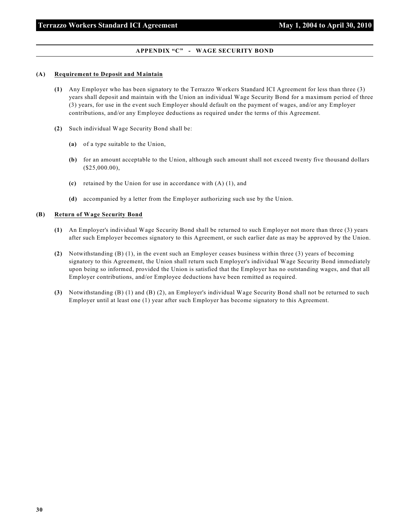#### **APPENDIX "C" - WAGE SECURITY BOND**

#### **(A) Requirement to Deposit and Maintain**

- **(1)** Any Employer who has been signatory to the Terrazzo Workers Standard ICI Agreement for less than three (3) years shall deposit and maintain with the Union an individual Wage Security Bond for a maximum period of three (3) years, for use in the event such Employer should default on the payment of wages, and/or any Employer contributions, and/or any Employee deductions as required under the terms of this Agreement.
- **(2)** Such individual Wage Security Bond shall be:
	- **(a)** of a type suitable to the Union,
	- **(b)** for an amount acceptable to the Union, although such amount shall not exceed twenty five thousand dollars (\$25,000.00),
	- **(c)** retained by the Union for use in accordance with (A) (1), and
	- **(d)** accompanied by a letter from the Employer authorizing such use by the Union.

#### **(B) Return of Wage Security Bond**

- **(1)** An Employer's individual Wage Security Bond shall be returned to such Employer not more than three (3) years after such Employer becomes signatory to this Agreement, or such earlier date as may be approved by the Union.
- **(2)** Notwithstanding (B) (1), in the event such an Employer ceases business within three (3) years of becoming signatory to this Agreement, the Union shall return such Employer's individual Wage Security Bond immediately upon being so informed, provided the Union is satisfied that the Employer has no outstanding wages, and that all Employer contributions, and/or Employee deductions have been remitted as required.
- **(3)** Notwithstanding (B) (1) and (B) (2), an Employer's individual Wage Security Bond shall not be returned to such Employer until at least one (1) year after such Employer has become signatory to this Agreement.